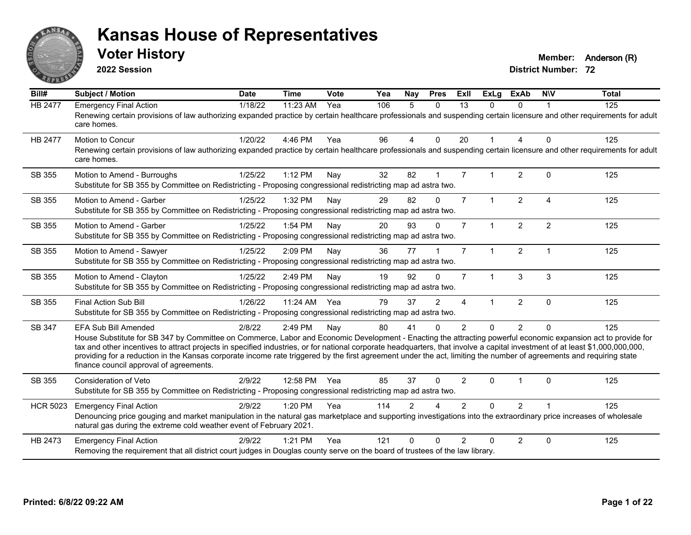

**2022 Session**

**Voter History Member:** Anderson (R)

| Bill#           | <b>Subject / Motion</b>                                                                                                                                                                                                                                                                                                                                                                                                                                                                                                                                                                     | <b>Date</b> | <b>Time</b>  | Vote | Yea | <b>Nay</b>    | <b>Pres</b>  | <b>Exll</b>    | <b>ExLg</b>          | <b>ExAb</b>    | <b>NIV</b>     | <b>Total</b> |
|-----------------|---------------------------------------------------------------------------------------------------------------------------------------------------------------------------------------------------------------------------------------------------------------------------------------------------------------------------------------------------------------------------------------------------------------------------------------------------------------------------------------------------------------------------------------------------------------------------------------------|-------------|--------------|------|-----|---------------|--------------|----------------|----------------------|----------------|----------------|--------------|
| <b>HB 2477</b>  | <b>Emergency Final Action</b><br>Renewing certain provisions of law authorizing expanded practice by certain healthcare professionals and suspending certain licensure and other requirements for adult<br>care homes.                                                                                                                                                                                                                                                                                                                                                                      | 1/18/22     | 11:23 AM     | Yea  | 106 | 5             | $\Omega$     | 13             | $\Omega$             | $\Omega$       |                | 125          |
| <b>HB 2477</b>  | Motion to Concur<br>Renewing certain provisions of law authorizing expanded practice by certain healthcare professionals and suspending certain licensure and other requirements for adult<br>care homes.                                                                                                                                                                                                                                                                                                                                                                                   | 1/20/22     | 4:46 PM      | Yea  | 96  | 4             | $\mathbf{0}$ | 20             |                      | 4              | $\mathbf{0}$   | 125          |
| SB 355          | Motion to Amend - Burroughs<br>Substitute for SB 355 by Committee on Redistricting - Proposing congressional redistricting map ad astra two.                                                                                                                                                                                                                                                                                                                                                                                                                                                | 1/25/22     | 1:12 PM      | Nay  | 32  | 82            | $\mathbf{1}$ | $\overline{7}$ |                      | $\overline{2}$ | $\mathbf{0}$   | 125          |
| SB 355          | Motion to Amend - Garber<br>Substitute for SB 355 by Committee on Redistricting - Proposing congressional redistricting map ad astra two.                                                                                                                                                                                                                                                                                                                                                                                                                                                   | 1/25/22     | 1:32 PM      | Nay  | 29  | 82            | $\Omega$     | $\overline{7}$ | $\mathbf{1}$         | 2              | $\overline{4}$ | 125          |
| SB 355          | Motion to Amend - Garber<br>Substitute for SB 355 by Committee on Redistricting - Proposing congressional redistricting map ad astra two.                                                                                                                                                                                                                                                                                                                                                                                                                                                   | 1/25/22     | 1:54 PM      | Nay  | 20  | 93            | $\Omega$     | $\overline{7}$ |                      | $\overline{c}$ | $\overline{2}$ | 125          |
| SB 355          | Motion to Amend - Sawyer<br>Substitute for SB 355 by Committee on Redistricting - Proposing congressional redistricting map ad astra two.                                                                                                                                                                                                                                                                                                                                                                                                                                                   | 1/25/22     | 2:09 PM      | Nay  | 36  | 77            |              | $\overline{7}$ | 1                    | 2              | $\overline{1}$ | 125          |
| SB 355          | Motion to Amend - Clayton<br>Substitute for SB 355 by Committee on Redistricting - Proposing congressional redistricting map ad astra two.                                                                                                                                                                                                                                                                                                                                                                                                                                                  | 1/25/22     | 2:49 PM      | Nay  | 19  | 92            | $\Omega$     | $\overline{7}$ | $\blacktriangleleft$ | 3              | 3              | 125          |
| SB 355          | <b>Final Action Sub Bill</b><br>Substitute for SB 355 by Committee on Redistricting - Proposing congressional redistricting map ad astra two.                                                                                                                                                                                                                                                                                                                                                                                                                                               | 1/26/22     | $11:24$ AM   | Yea  | 79  | 37            | 2            | $\overline{4}$ |                      | $\overline{2}$ | $\mathbf{0}$   | 125          |
| SB 347          | EFA Sub Bill Amended<br>House Substitute for SB 347 by Committee on Commerce, Labor and Economic Development - Enacting the attracting powerful economic expansion act to provide for<br>tax and other incentives to attract projects in specified industries, or for national corporate headquarters, that involve a capital investment of at least \$1,000,000,000,000,<br>providing for a reduction in the Kansas corporate income rate triggered by the first agreement under the act, limiting the number of agreements and requiring state<br>finance council approval of agreements. | 2/8/22      | 2:49 PM      | Nay  | 80  | 41            | $\Omega$     | $\overline{2}$ | $\Omega$             | $\overline{2}$ | $\Omega$       | 125          |
| SB 355          | <b>Consideration of Veto</b><br>Substitute for SB 355 by Committee on Redistricting - Proposing congressional redistricting map ad astra two.                                                                                                                                                                                                                                                                                                                                                                                                                                               | 2/9/22      | 12:58 PM Yea |      | 85  | 37            | $\Omega$     | $\overline{2}$ | $\Omega$             |                | $\Omega$       | 125          |
| <b>HCR 5023</b> | <b>Emergency Final Action</b><br>Denouncing price gouging and market manipulation in the natural gas marketplace and supporting investigations into the extraordinary price increases of wholesale<br>natural gas during the extreme cold weather event of February 2021.                                                                                                                                                                                                                                                                                                                   | 2/9/22      | 1:20 PM      | Yea  | 114 | $\mathcal{P}$ |              | $\mathcal{P}$  | $\Omega$             | $\overline{2}$ |                | 125          |
| HB 2473         | <b>Emergency Final Action</b><br>Removing the requirement that all district court judges in Douglas county serve on the board of trustees of the law library.                                                                                                                                                                                                                                                                                                                                                                                                                               | 2/9/22      | $1:21$ PM    | Yea  | 121 | ∩             | ∩            | $\mathfrak{p}$ | 0                    | $\overline{2}$ | $\Omega$       | 125          |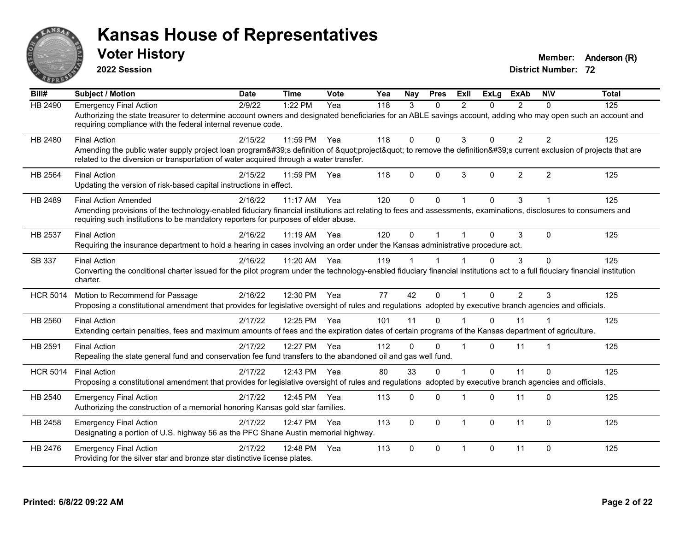

**2022 Session**

**Voter History Member:** Anderson (R)

| Bill#           | <b>Subject / Motion</b>                                                                                                                                                                                                                                                              | Date    | <b>Time</b> | Vote | Yea | <b>Nav</b> | <b>Pres</b> | ExIl           | <b>ExLg</b>  | <b>ExAb</b>    | <b>NIV</b>     | <b>Total</b> |
|-----------------|--------------------------------------------------------------------------------------------------------------------------------------------------------------------------------------------------------------------------------------------------------------------------------------|---------|-------------|------|-----|------------|-------------|----------------|--------------|----------------|----------------|--------------|
| <b>HB 2490</b>  | <b>Emergency Final Action</b><br>Authorizing the state treasurer to determine account owners and designated beneficiaries for an ABLE savings account, adding who may open such an account and<br>requiring compliance with the federal internal revenue code.                       | 2/9/22  | 1:22 PM     | Yea  | 118 | 3          | $\Omega$    | $\mathfrak{p}$ | 0            | $\mathcal{P}$  | $\Omega$       | 125          |
| HB 2480         | <b>Final Action</b><br>Amending the public water supply project loan program's definition of "project" to remove the definition's current exclusion of projects that are<br>related to the diversion or transportation of water acquired through a water transfer.                   | 2/15/22 | 11:59 PM    | Yea  | 118 | $\Omega$   | $\Omega$    | 3              | $\Omega$     | $\overline{2}$ | $\overline{2}$ | 125          |
| HB 2564         | <b>Final Action</b><br>Updating the version of risk-based capital instructions in effect.                                                                                                                                                                                            | 2/15/22 | 11:59 PM    | Yea  | 118 | $\Omega$   | $\Omega$    | 3              | $\mathbf{0}$ | $\overline{2}$ | $\overline{2}$ | 125          |
| HB 2489         | <b>Final Action Amended</b><br>Amending provisions of the technology-enabled fiduciary financial institutions act relating to fees and assessments, examinations, disclosures to consumers and<br>requiring such institutions to be mandatory reporters for purposes of elder abuse. | 2/16/22 | $11:17$ AM  | Yea  | 120 | $\Omega$   | $\Omega$    |                | $\Omega$     | 3              |                | 125          |
| HB 2537         | <b>Final Action</b><br>Requiring the insurance department to hold a hearing in cases involving an order under the Kansas administrative procedure act.                                                                                                                               | 2/16/22 | 11:19 AM    | Yea  | 120 | $\Omega$   |             |                | 0            | 3              | $\Omega$       | 125          |
| SB 337          | <b>Final Action</b><br>Converting the conditional charter issued for the pilot program under the technology-enabled fiduciary financial institutions act to a full fiduciary financial institution<br>charter.                                                                       | 2/16/22 | 11:20 AM    | Yea  | 119 |            |             |                | $\Omega$     | 3              | $\Omega$       | 125          |
| <b>HCR 5014</b> | Motion to Recommend for Passage<br>Proposing a constitutional amendment that provides for legislative oversight of rules and regulations adopted by executive branch agencies and officials.                                                                                         | 2/16/22 | 12:30 PM    | Yea  | 77  | 42         | $\Omega$    |                | $\Omega$     | 2              | 3              | 125          |
| HB 2560         | <b>Final Action</b><br>Extending certain penalties, fees and maximum amounts of fees and the expiration dates of certain programs of the Kansas department of agriculture.                                                                                                           | 2/17/22 | 12:25 PM    | Yea  | 101 | 11         | $\Omega$    |                | $\Omega$     | 11             |                | 125          |
| HB 2591         | <b>Final Action</b><br>Repealing the state general fund and conservation fee fund transfers to the abandoned oil and gas well fund.                                                                                                                                                  | 2/17/22 | 12:27 PM    | Yea  | 112 | $\Omega$   | $\Omega$    |                | $\Omega$     | 11             |                | 125          |
| <b>HCR 5014</b> | <b>Final Action</b><br>Proposing a constitutional amendment that provides for legislative oversight of rules and regulations adopted by executive branch agencies and officials.                                                                                                     | 2/17/22 | 12:43 PM    | Yea  | 80  | 33         | $\Omega$    |                | $\Omega$     | 11             | $\Omega$       | 125          |
| HB 2540         | <b>Emergency Final Action</b><br>Authorizing the construction of a memorial honoring Kansas gold star families.                                                                                                                                                                      | 2/17/22 | 12:45 PM    | Yea  | 113 | 0          | $\Omega$    |                | $\Omega$     | 11             | $\mathbf{0}$   | 125          |
| HB 2458         | <b>Emergency Final Action</b><br>Designating a portion of U.S. highway 56 as the PFC Shane Austin memorial highway.                                                                                                                                                                  | 2/17/22 | 12:47 PM    | Yea  | 113 | $\Omega$   | $\Omega$    | $\overline{1}$ | $\Omega$     | 11             | $\Omega$       | 125          |
| HB 2476         | <b>Emergency Final Action</b><br>Providing for the silver star and bronze star distinctive license plates.                                                                                                                                                                           | 2/17/22 | 12:48 PM    | Yea  | 113 | $\Omega$   | $\Omega$    | $\overline{1}$ | 0            | 11             | $\Omega$       | 125          |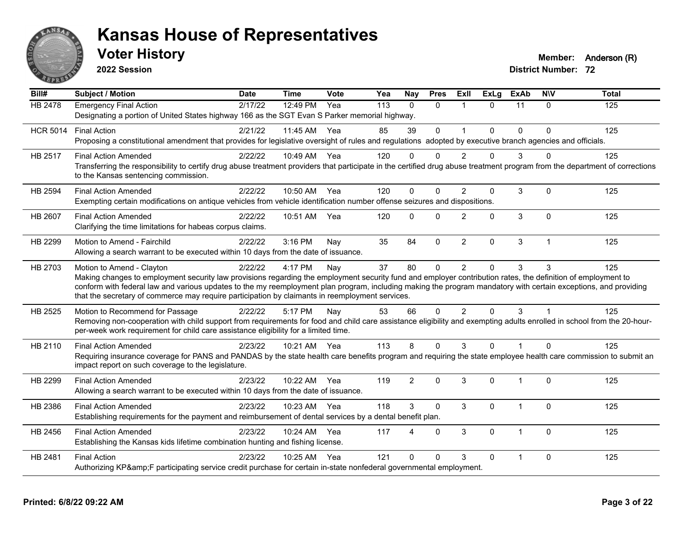

**2022 Session**

**Voter History Member:** Anderson (R)

| Bill#           | <b>Subject / Motion</b>                                                                                                                                                                                                                                                                                                                                                                                                                                         | <b>Date</b> | <b>Time</b>  | Vote | Yea | <b>Nay</b>   | <b>Pres</b>  | ExII                    | <b>ExLg</b> | <b>ExAb</b>    | <b>NIV</b>   | <b>Total</b> |
|-----------------|-----------------------------------------------------------------------------------------------------------------------------------------------------------------------------------------------------------------------------------------------------------------------------------------------------------------------------------------------------------------------------------------------------------------------------------------------------------------|-------------|--------------|------|-----|--------------|--------------|-------------------------|-------------|----------------|--------------|--------------|
| <b>HB 2478</b>  | <b>Emergency Final Action</b><br>Designating a portion of United States highway 166 as the SGT Evan S Parker memorial highway.                                                                                                                                                                                                                                                                                                                                  | 2/17/22     | 12:49 PM     | Yea  | 113 | $\Omega$     | $\Omega$     | $\overline{1}$          | $\Omega$    | 11             | $\Omega$     | 125          |
| <b>HCR 5014</b> | <b>Final Action</b><br>Proposing a constitutional amendment that provides for legislative oversight of rules and regulations adopted by executive branch agencies and officials.                                                                                                                                                                                                                                                                                | 2/21/22     | 11:45 AM     | Yea  | 85  | 39           | $\mathbf 0$  | $\overline{\mathbf{1}}$ | $\Omega$    | $\Omega$       | $\Omega$     | 125          |
| HB 2517         | <b>Final Action Amended</b><br>Transferring the responsibility to certify drug abuse treatment providers that participate in the certified drug abuse treatment program from the department of corrections<br>to the Kansas sentencing commission.                                                                                                                                                                                                              | 2/22/22     | 10:49 AM Yea |      | 120 | $\Omega$     | $\Omega$     | $\mathcal{P}$           | 0           | 3              | $\Omega$     | 125          |
| <b>HB 2594</b>  | <b>Final Action Amended</b><br>Exempting certain modifications on antique vehicles from vehicle identification number offense seizures and dispositions.                                                                                                                                                                                                                                                                                                        | 2/22/22     | 10:50 AM Yea |      | 120 | $\mathbf{0}$ | $\Omega$     | $\mathfrak{p}$          | 0           | 3              | $\mathbf 0$  | 125          |
| HB 2607         | <b>Final Action Amended</b><br>Clarifying the time limitations for habeas corpus claims.                                                                                                                                                                                                                                                                                                                                                                        | 2/22/22     | 10:51 AM     | Yea  | 120 | $\mathbf{0}$ | $\Omega$     | $\mathfrak{p}$          | $\Omega$    | 3              | $\Omega$     | 125          |
| HB 2299         | Motion to Amend - Fairchild<br>Allowing a search warrant to be executed within 10 days from the date of issuance.                                                                                                                                                                                                                                                                                                                                               | 2/22/22     | 3:16 PM      | Nay  | 35  | 84           | $\mathbf 0$  | $\overline{2}$          | 0           | 3              | $\mathbf{1}$ | 125          |
| HB 2703         | Motion to Amend - Clayton<br>Making changes to employment security law provisions regarding the employment security fund and employer contribution rates, the definition of employment to<br>conform with federal law and various updates to the my reemployment plan program, including making the program mandatory with certain exceptions, and providing<br>that the secretary of commerce may require participation by claimants in reemployment services. | 2/22/22     | 4:17 PM      | Nay  | 37  | 80           | $\mathbf 0$  | 2                       | 0           | 3              | 3            | 125          |
| HB 2525         | Motion to Recommend for Passage<br>Removing non-cooperation with child support from requirements for food and child care assistance eligibility and exempting adults enrolled in school from the 20-hour-<br>per-week work requirement for child care assistance eligibility for a limited time.                                                                                                                                                                | 2/22/22     | 5:17 PM      | Nay  | 53  | 66           | $\Omega$     | $\mathcal{P}$           | $\Omega$    | 3              |              | 125          |
| HB 2110         | <b>Final Action Amended</b><br>Requiring insurance coverage for PANS and PANDAS by the state health care benefits program and requiring the state employee health care commission to submit an<br>impact report on such coverage to the legislature.                                                                                                                                                                                                            | 2/23/22     | 10:21 AM Yea |      | 113 | 8            | $\Omega$     | 3                       | $\Omega$    | 1              | $\Omega$     | 125          |
| HB 2299         | <b>Final Action Amended</b><br>Allowing a search warrant to be executed within 10 days from the date of issuance.                                                                                                                                                                                                                                                                                                                                               | 2/23/22     | 10:22 AM     | Yea  | 119 | 2            | $\Omega$     | 3                       | $\Omega$    | 1              | $\Omega$     | 125          |
| HB 2386         | <b>Final Action Amended</b><br>Establishing requirements for the payment and reimbursement of dental services by a dental benefit plan.                                                                                                                                                                                                                                                                                                                         | 2/23/22     | 10:23 AM     | Yea  | 118 | 3            | $\mathbf{0}$ | 3                       | 0           | 1              | $\mathbf 0$  | 125          |
| HB 2456         | <b>Final Action Amended</b><br>Establishing the Kansas kids lifetime combination hunting and fishing license.                                                                                                                                                                                                                                                                                                                                                   | 2/23/22     | 10:24 AM     | Yea  | 117 | 4            | $\mathbf{0}$ | 3                       | $\Omega$    | $\overline{1}$ | $\mathbf 0$  | 125          |
| HB 2481         | <b>Final Action</b><br>Authorizing KP&F participating service credit purchase for certain in-state nonfederal governmental employment.                                                                                                                                                                                                                                                                                                                          | 2/23/22     | 10:25 AM     | Yea  | 121 | $\Omega$     | $\Omega$     | 3                       | 0           |                | $\mathbf 0$  | 125          |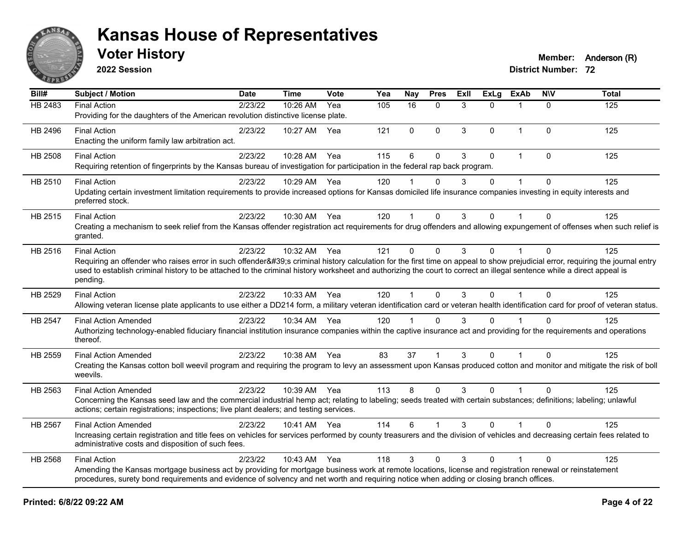

**2022 Session**

**Voter History Member:** Anderson (R)

| Bill#   | <b>Subject / Motion</b>                                                                                                                                                                                                                                                                                                                             | <b>Date</b> | <b>Time</b>  | Vote | Yea | <b>Nay</b>  | <b>Pres</b>  | Exll | <b>ExLg</b>  | <b>ExAb</b>  | <b>NIV</b>   | <b>Total</b> |
|---------|-----------------------------------------------------------------------------------------------------------------------------------------------------------------------------------------------------------------------------------------------------------------------------------------------------------------------------------------------------|-------------|--------------|------|-----|-------------|--------------|------|--------------|--------------|--------------|--------------|
| HB 2483 | <b>Final Action</b>                                                                                                                                                                                                                                                                                                                                 | 2/23/22     | 10:26 AM     | Yea  | 105 | 16          | $\Omega$     | 3    | $\Omega$     |              | $\Omega$     | 125          |
|         | Providing for the daughters of the American revolution distinctive license plate.                                                                                                                                                                                                                                                                   |             |              |      |     |             |              |      |              |              |              |              |
| HB 2496 | <b>Final Action</b>                                                                                                                                                                                                                                                                                                                                 | 2/23/22     | 10:27 AM     | Yea  | 121 | $\mathbf 0$ | $\mathbf{0}$ | 3    | $\Omega$     | $\mathbf{1}$ | $\Omega$     | 125          |
|         | Enacting the uniform family law arbitration act.                                                                                                                                                                                                                                                                                                    |             |              |      |     |             |              |      |              |              |              |              |
| HB 2508 | <b>Final Action</b>                                                                                                                                                                                                                                                                                                                                 | 2/23/22     | 10:28 AM     | Yea  | 115 | $\,6$       | $\mathbf 0$  | 3    | $\mathbf{0}$ | $\mathbf{1}$ | $\mathbf{0}$ | 125          |
|         | Requiring retention of fingerprints by the Kansas bureau of investigation for participation in the federal rap back program.                                                                                                                                                                                                                        |             |              |      |     |             |              |      |              |              |              |              |
| HB 2510 | <b>Final Action</b>                                                                                                                                                                                                                                                                                                                                 | 2/23/22     | 10:29 AM Yea |      | 120 |             | $\Omega$     | 3    | $\Omega$     |              | $\Omega$     | 125          |
|         | Updating certain investment limitation requirements to provide increased options for Kansas domiciled life insurance companies investing in equity interests and<br>preferred stock.                                                                                                                                                                |             |              |      |     |             |              |      |              |              |              |              |
| HB 2515 | <b>Final Action</b>                                                                                                                                                                                                                                                                                                                                 | 2/23/22     | 10:30 AM Yea |      | 120 |             | $\Omega$     | 3    | $\Omega$     |              | $\Omega$     | 125          |
|         | Creating a mechanism to seek relief from the Kansas offender registration act requirements for drug offenders and allowing expungement of offenses when such relief is                                                                                                                                                                              |             |              |      |     |             |              |      |              |              |              |              |
|         | granted.                                                                                                                                                                                                                                                                                                                                            |             |              |      |     |             |              |      |              |              |              |              |
| HB 2516 | <b>Final Action</b>                                                                                                                                                                                                                                                                                                                                 | 2/23/22     | 10:32 AM     | Yea  | 121 | $\mathbf 0$ | $\mathbf{0}$ | 3    | $\mathbf{0}$ | $\mathbf{1}$ | $\mathbf{0}$ | 125          |
|         | Requiring an offender who raises error in such offender's criminal history calculation for the first time on appeal to show prejudicial error, requiring the journal entry<br>used to establish criminal history to be attached to the criminal history worksheet and authorizing the court to correct an illegal sentence while a direct appeal is |             |              |      |     |             |              |      |              |              |              |              |
|         | pending.                                                                                                                                                                                                                                                                                                                                            |             |              |      |     |             |              |      |              |              |              |              |
| HB 2529 | <b>Final Action</b>                                                                                                                                                                                                                                                                                                                                 | 2/23/22     | 10:33 AM Yea |      | 120 |             | $\Omega$     | 3    | $\Omega$     | $\mathbf 1$  | $\Omega$     | 125          |
|         | Allowing veteran license plate applicants to use either a DD214 form, a military veteran identification card or veteran health identification card for proof of veteran status.                                                                                                                                                                     |             |              |      |     |             |              |      |              |              |              |              |
| HB 2547 | <b>Final Action Amended</b>                                                                                                                                                                                                                                                                                                                         | 2/23/22     | 10:34 AM Yea |      | 120 |             | $\Omega$     | 3    | $\Omega$     |              | $\Omega$     | 125          |
|         | Authorizing technology-enabled fiduciary financial institution insurance companies within the captive insurance act and providing for the requirements and operations                                                                                                                                                                               |             |              |      |     |             |              |      |              |              |              |              |
|         | thereof.                                                                                                                                                                                                                                                                                                                                            |             |              |      |     |             |              |      |              |              |              |              |
| HB 2559 | <b>Final Action Amended</b>                                                                                                                                                                                                                                                                                                                         | 2/23/22     | 10:38 AM Yea |      | 83  | 37          |              | 3    | $\Omega$     |              | $\Omega$     | 125          |
|         | Creating the Kansas cotton boll weevil program and requiring the program to levy an assessment upon Kansas produced cotton and monitor and mitigate the risk of boll                                                                                                                                                                                |             |              |      |     |             |              |      |              |              |              |              |
|         | weevils.                                                                                                                                                                                                                                                                                                                                            |             |              |      |     |             |              |      |              |              |              |              |
| HB 2563 | <b>Final Action Amended</b>                                                                                                                                                                                                                                                                                                                         | 2/23/22     | 10:39 AM Yea |      | 113 | 8           | $\Omega$     | 3    | $\Omega$     | $\mathbf{1}$ | $\Omega$     | 125          |
|         | Concerning the Kansas seed law and the commercial industrial hemp act; relating to labeling; seeds treated with certain substances; definitions; labeling; unlawful<br>actions; certain registrations; inspections; live plant dealers; and testing services.                                                                                       |             |              |      |     |             |              |      |              |              |              |              |
|         |                                                                                                                                                                                                                                                                                                                                                     |             |              |      |     |             |              |      |              |              |              |              |
| HB 2567 | <b>Final Action Amended</b>                                                                                                                                                                                                                                                                                                                         | 2/23/22     | 10:41 AM Yea |      | 114 | 6           |              | 3    | $\Omega$     |              | 0            | 125          |
|         | Increasing certain registration and title fees on vehicles for services performed by county treasurers and the division of vehicles and decreasing certain fees related to<br>administrative costs and disposition of such fees.                                                                                                                    |             |              |      |     |             |              |      |              |              |              |              |
|         |                                                                                                                                                                                                                                                                                                                                                     |             | 10:43 AM     |      | 118 | 3           | $\Omega$     | 3    | $\Omega$     |              | $\Omega$     | 125          |
| HB 2568 | <b>Final Action</b><br>Amending the Kansas mortgage business act by providing for mortgage business work at remote locations, license and registration renewal or reinstatement                                                                                                                                                                     | 2/23/22     |              | Yea  |     |             |              |      |              |              |              |              |
|         | procedures, surety bond requirements and evidence of solvency and net worth and requiring notice when adding or closing branch offices.                                                                                                                                                                                                             |             |              |      |     |             |              |      |              |              |              |              |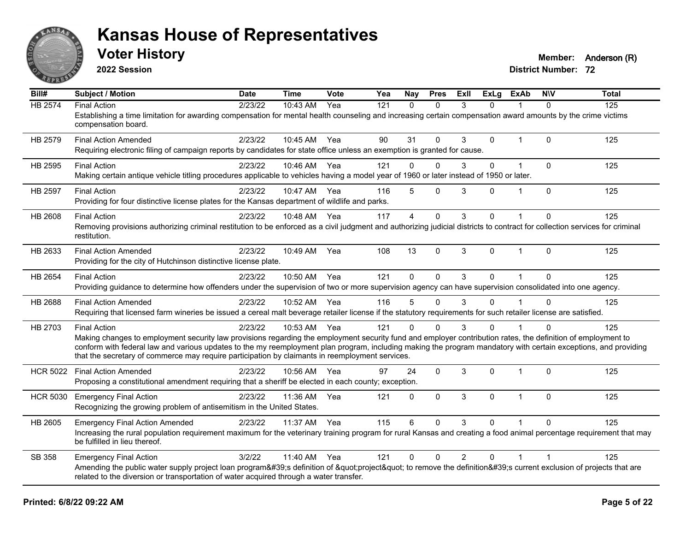

**2022 Session**

**Voter History Member:** Anderson (R)

| Bill#           | <b>Subject / Motion</b>                                                                                                                                                                                                                                                                                                                                                                                                                                   | <b>Date</b> | <b>Time</b> | Vote | Yea | Nay         | <b>Pres</b>  | <b>ExII</b>    | <b>ExLg</b>  | <b>ExAb</b>    | <b>NIV</b> | <b>Total</b> |
|-----------------|-----------------------------------------------------------------------------------------------------------------------------------------------------------------------------------------------------------------------------------------------------------------------------------------------------------------------------------------------------------------------------------------------------------------------------------------------------------|-------------|-------------|------|-----|-------------|--------------|----------------|--------------|----------------|------------|--------------|
| <b>HB 2574</b>  | <b>Final Action</b><br>Establishing a time limitation for awarding compensation for mental health counseling and increasing certain compensation award amounts by the crime victims<br>compensation board.                                                                                                                                                                                                                                                | 2/23/22     | 10:43 AM    | Yea  | 121 | $\Omega$    | $\Omega$     | 3              | $\Omega$     | 1              | 0          | 125          |
| HB 2579         | <b>Final Action Amended</b><br>Requiring electronic filing of campaign reports by candidates for state office unless an exemption is granted for cause.                                                                                                                                                                                                                                                                                                   | 2/23/22     | 10:45 AM    | Yea  | 90  | 31          | $\Omega$     | 3              | $\Omega$     | $\mathbf 1$    | $\Omega$   | 125          |
| HB 2595         | <b>Final Action</b><br>Making certain antique vehicle titling procedures applicable to vehicles having a model year of 1960 or later instead of 1950 or later.                                                                                                                                                                                                                                                                                            | 2/23/22     | 10:46 AM    | Yea  | 121 | $\Omega$    | $\Omega$     | 3              | $\mathbf{0}$ | $\mathbf{1}$   | $\Omega$   | 125          |
| HB 2597         | <b>Final Action</b><br>Providing for four distinctive license plates for the Kansas department of wildlife and parks.                                                                                                                                                                                                                                                                                                                                     | 2/23/22     | 10:47 AM    | Yea  | 116 | 5           | $\mathbf 0$  | 3              | $\Omega$     | 1              | $\Omega$   | 125          |
| <b>HB 2608</b>  | <b>Final Action</b><br>Removing provisions authorizing criminal restitution to be enforced as a civil judgment and authorizing judicial districts to contract for collection services for criminal<br>restitution.                                                                                                                                                                                                                                        | 2/23/22     | 10:48 AM    | Yea  | 117 | 4           | 0            | 3              | $\mathbf{0}$ | 1              | 0          | 125          |
| HB 2633         | <b>Final Action Amended</b><br>Providing for the city of Hutchinson distinctive license plate.                                                                                                                                                                                                                                                                                                                                                            | 2/23/22     | 10:49 AM    | Yea  | 108 | 13          | $\Omega$     | 3              | $\Omega$     | $\mathbf{1}$   | $\Omega$   | 125          |
| <b>HB 2654</b>  | <b>Final Action</b><br>Providing guidance to determine how offenders under the supervision of two or more supervision agency can have supervision consolidated into one agency.                                                                                                                                                                                                                                                                           | 2/23/22     | 10:50 AM    | Yea  | 121 | $\Omega$    | $\Omega$     | 3              | $\Omega$     | $\mathbf{1}$   | 0          | 125          |
| <b>HB 2688</b>  | <b>Final Action Amended</b><br>Requiring that licensed farm wineries be issued a cereal malt beverage retailer license if the statutory requirements for such retailer license are satisfied.                                                                                                                                                                                                                                                             | 2/23/22     | 10:52 AM    | Yea  | 116 | 5           | $\mathbf{0}$ | 3              | $\Omega$     | 1              | 0          | 125          |
| HB 2703         | <b>Final Action</b><br>Making changes to employment security law provisions regarding the employment security fund and employer contribution rates, the definition of employment to<br>conform with federal law and various updates to the my reemployment plan program, including making the program mandatory with certain exceptions, and providing<br>that the secretary of commerce may require participation by claimants in reemployment services. | 2/23/22     | 10:53 AM    | Yea  | 121 | $\Omega$    | O            | 3              | 0            |                | ∩          | 125          |
| <b>HCR 5022</b> | <b>Final Action Amended</b><br>Proposing a constitutional amendment requiring that a sheriff be elected in each county; exception.                                                                                                                                                                                                                                                                                                                        | 2/23/22     | 10:56 AM    | Yea  | 97  | 24          | $\mathbf{0}$ | 3              | $\mathbf 0$  | $\mathbf 1$    | $\Omega$   | 125          |
| <b>HCR 5030</b> | <b>Emergency Final Action</b><br>Recognizing the growing problem of antisemitism in the United States.                                                                                                                                                                                                                                                                                                                                                    | 2/23/22     | 11:36 AM    | Yea  | 121 | 0           | $\mathbf 0$  | 3              | $\Omega$     | $\mathbf 1$    | $\Omega$   | 125          |
| HB 2605         | <b>Emergency Final Action Amended</b><br>Increasing the rural population requirement maximum for the veterinary training program for rural Kansas and creating a food animal percentage requirement that may<br>be fulfilled in lieu thereof.                                                                                                                                                                                                             | 2/23/22     | 11:37 AM    | Yea  | 115 | 6           | $\mathbf{0}$ | 3              | $\Omega$     |                | $\Omega$   | 125          |
| SB 358          | <b>Emergency Final Action</b><br>Amending the public water supply project loan program's definition of "project" to remove the definition's current exclusion of projects that are<br>related to the diversion or transportation of water acquired through a water transfer.                                                                                                                                                                              | 3/2/22      | 11:40 AM    | Yea  | 121 | $\mathbf 0$ | $\mathbf 0$  | $\overline{2}$ | $\mathbf 0$  | $\overline{1}$ | 1          | 125          |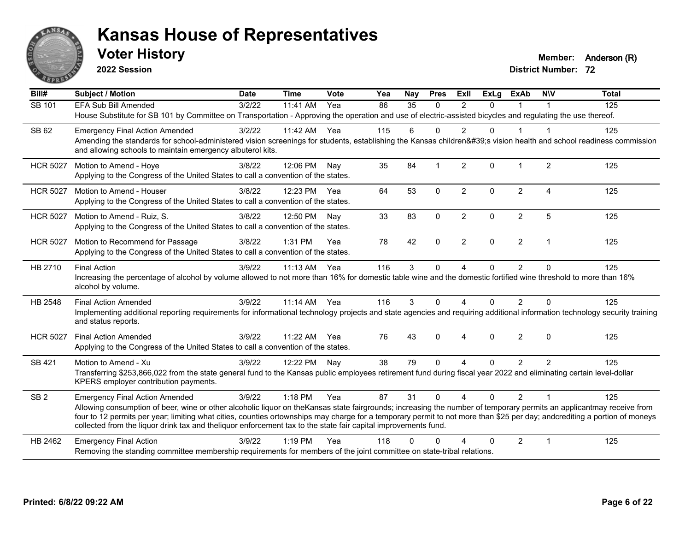

**2022 Session**

**Voter History Member:** Anderson (R)

| Bill#           | <b>Subject / Motion</b>                                                                                                                                                                                                                                                                     | <b>Date</b> | <b>Time</b>  | Vote | Yea | Nay      | <b>Pres</b>  | <b>ExII</b>            | <b>ExLg</b> | <b>ExAb</b>    | <b>NIV</b>     | <b>Total</b> |
|-----------------|---------------------------------------------------------------------------------------------------------------------------------------------------------------------------------------------------------------------------------------------------------------------------------------------|-------------|--------------|------|-----|----------|--------------|------------------------|-------------|----------------|----------------|--------------|
| SB 101          | <b>EFA Sub Bill Amended</b>                                                                                                                                                                                                                                                                 | 3/2/22      | 11:41 AM     | Yea  | 86  | 35       | $\Omega$     | 2                      | $\Omega$    | $\mathbf 1$    |                | 125          |
|                 | House Substitute for SB 101 by Committee on Transportation - Approving the operation and use of electric-assisted bicycles and regulating the use thereof.                                                                                                                                  |             |              |      |     |          |              |                        |             |                |                |              |
| SB 62           | <b>Emergency Final Action Amended</b>                                                                                                                                                                                                                                                       | 3/2/22      | 11:42 AM     | Yea  | 115 | 6        | $\Omega$     | 2                      | $\Omega$    | 1              | -1             | 125          |
|                 | Amending the standards for school-administered vision screenings for students, establishing the Kansas children's vision health and school readiness commission<br>and allowing schools to maintain emergency albuterol kits.                                                               |             |              |      |     |          |              |                        |             |                |                |              |
| <b>HCR 5027</b> | Motion to Amend - Hoye                                                                                                                                                                                                                                                                      | 3/8/22      | 12:06 PM     | Nav  | 35  | 84       | $\mathbf 1$  | 2                      | $\Omega$    | $\mathbf 1$    | $\overline{2}$ | 125          |
|                 | Applying to the Congress of the United States to call a convention of the states.                                                                                                                                                                                                           |             |              |      |     |          |              |                        |             |                |                |              |
| <b>HCR 5027</b> | Motion to Amend - Houser                                                                                                                                                                                                                                                                    | 3/8/22      | 12:23 PM     | Yea  | 64  | 53       | $\mathbf 0$  | $\overline{2}$         | $\Omega$    | $\overline{2}$ | $\overline{4}$ | 125          |
|                 | Applying to the Congress of the United States to call a convention of the states.                                                                                                                                                                                                           |             |              |      |     |          |              |                        |             |                |                |              |
| <b>HCR 5027</b> | Motion to Amend - Ruiz, S.                                                                                                                                                                                                                                                                  | 3/8/22      | 12:50 PM     | Nav  | 33  | 83       | $\mathbf{0}$ | $\overline{2}$         | $\Omega$    | $\overline{2}$ | 5              | 125          |
|                 | Applying to the Congress of the United States to call a convention of the states.                                                                                                                                                                                                           |             |              |      |     |          |              |                        |             |                |                |              |
| <b>HCR 5027</b> | Motion to Recommend for Passage                                                                                                                                                                                                                                                             | 3/8/22      | $1:31$ PM    | Yea  | 78  | 42       | $\Omega$     | $\overline{2}$         | $\Omega$    | $\overline{2}$ | $\overline{1}$ | 125          |
|                 | Applying to the Congress of the United States to call a convention of the states.                                                                                                                                                                                                           |             |              |      |     |          |              |                        |             |                |                |              |
| HB 2710         | <b>Final Action</b>                                                                                                                                                                                                                                                                         | 3/9/22      | 11:13 AM     | Yea  | 116 | 3        | $\mathbf 0$  | 4                      | 0           | $\overline{2}$ | $\mathbf{0}$   | 125          |
|                 | Increasing the percentage of alcohol by volume allowed to not more than 16% for domestic table wine and the domestic fortified wine threshold to more than 16%<br>alcohol by volume.                                                                                                        |             |              |      |     |          |              |                        |             |                |                |              |
| HB 2548         | <b>Final Action Amended</b>                                                                                                                                                                                                                                                                 | 3/9/22      | $11:14$ AM   | Yea  | 116 | 3        | $\Omega$     | 4                      | $\Omega$    | $\overline{2}$ | $\Omega$       | 125          |
|                 | Implementing additional reporting requirements for informational technology projects and state agencies and requiring additional information technology security training<br>and status reports.                                                                                            |             |              |      |     |          |              |                        |             |                |                |              |
| <b>HCR 5027</b> | <b>Final Action Amended</b>                                                                                                                                                                                                                                                                 | 3/9/22      | 11:22 AM     | Yea  | 76  | 43       | $\mathbf{0}$ | $\boldsymbol{\Lambda}$ | $\Omega$    | $\overline{2}$ | $\Omega$       | 125          |
|                 | Applying to the Congress of the United States to call a convention of the states.                                                                                                                                                                                                           |             |              |      |     |          |              |                        |             |                |                |              |
| SB 421          | Motion to Amend - Xu                                                                                                                                                                                                                                                                        | 3/9/22      | 12:22 PM Nay |      | 38  | 79       | $\Omega$     | 4                      | $\Omega$    | $\overline{2}$ | $\overline{2}$ | 125          |
|                 | Transferring \$253,866,022 from the state general fund to the Kansas public employees retirement fund during fiscal year 2022 and eliminating certain level-dollar<br>KPERS employer contribution payments.                                                                                 |             |              |      |     |          |              |                        |             |                |                |              |
|                 |                                                                                                                                                                                                                                                                                             |             |              |      |     |          |              |                        |             |                |                |              |
| SB <sub>2</sub> | <b>Emergency Final Action Amended</b><br>Allowing consumption of beer, wine or other alcoholic liquor on theKansas state fairgrounds; increasing the number of temporary permits an applicantmay receive from                                                                               | 3/9/22      | 1:18 PM      | Yea  | 87  | 31       | $\Omega$     | $\overline{4}$         | $\Omega$    | $\overline{2}$ | $\overline{1}$ | 125          |
|                 | four to 12 permits per year; limiting what cities, counties ortownships may charge for a temporary permit to not more than \$25 per day; andcrediting a portion of moneys<br>collected from the liquor drink tax and theliquor enforcement tax to the state fair capital improvements fund. |             |              |      |     |          |              |                        |             |                |                |              |
| HB 2462         | <b>Emergency Final Action</b>                                                                                                                                                                                                                                                               | 3/9/22      | $1:19$ PM    | Yea  | 118 | $\Omega$ | $\Omega$     | Δ                      | $\Omega$    | $\overline{2}$ | $\mathbf 1$    | 125          |
|                 | Removing the standing committee membership requirements for members of the joint committee on state-tribal relations.                                                                                                                                                                       |             |              |      |     |          |              |                        |             |                |                |              |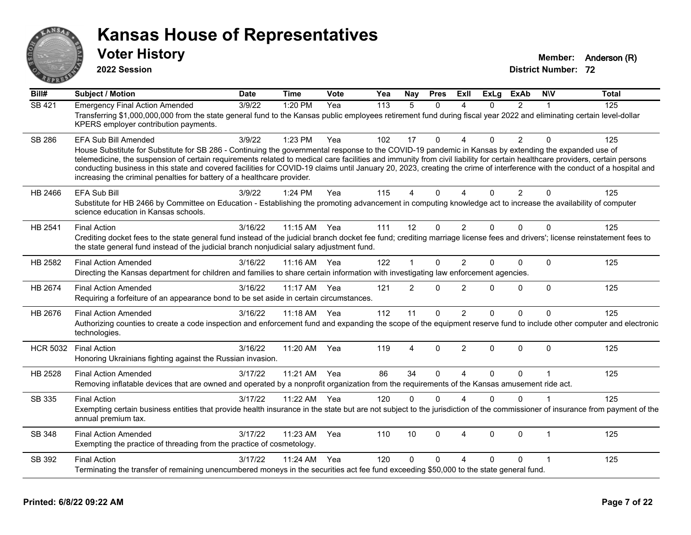

**2022 Session**

**Voter History Member:** Anderson (R)

| Bill#           | <b>Subject / Motion</b>                                                                                                                                                                                                                                                                                                                                                                                                                                                                                                                                                                                                      | <b>Date</b> | <b>Time</b>  | Vote | Yea | Nay            | <b>Pres</b> | ExIl                   | <b>ExLg</b> | <b>ExAb</b>    | <b>NIV</b>     | <b>Total</b> |
|-----------------|------------------------------------------------------------------------------------------------------------------------------------------------------------------------------------------------------------------------------------------------------------------------------------------------------------------------------------------------------------------------------------------------------------------------------------------------------------------------------------------------------------------------------------------------------------------------------------------------------------------------------|-------------|--------------|------|-----|----------------|-------------|------------------------|-------------|----------------|----------------|--------------|
| SB 421          | <b>Emergency Final Action Amended</b><br>Transferring \$1,000,000,000 from the state general fund to the Kansas public employees retirement fund during fiscal year 2022 and eliminating certain level-dollar<br>KPERS employer contribution payments.                                                                                                                                                                                                                                                                                                                                                                       | 3/9/22      | 1:20 PM      | Yea  | 113 | $\overline{5}$ | $\Omega$    | 4                      | $\Omega$    | $\overline{2}$ | 1              | 125          |
| <b>SB 286</b>   | <b>EFA Sub Bill Amended</b><br>House Substitute for Substitute for SB 286 - Continuing the governmental response to the COVID-19 pandemic in Kansas by extending the expanded use of<br>telemedicine, the suspension of certain requirements related to medical care facilities and immunity from civil liability for certain healthcare providers, certain persons<br>conducting business in this state and covered facilities for COVID-19 claims until January 20, 2023, creating the crime of interference with the conduct of a hospital and<br>increasing the criminal penalties for battery of a healthcare provider. | 3/9/22      | 1:23 PM      | Yea  | 102 | 17             | $\Omega$    | $\Lambda$              | 0           | $\overline{2}$ | $\Omega$       | 125          |
| HB 2466         | <b>EFA Sub Bill</b><br>Substitute for HB 2466 by Committee on Education - Establishing the promoting advancement in computing knowledge act to increase the availability of computer<br>science education in Kansas schools.                                                                                                                                                                                                                                                                                                                                                                                                 | 3/9/22      | 1:24 PM      | Yea  | 115 | 4              | $\Omega$    | $\boldsymbol{\Lambda}$ | $\Omega$    | $\overline{2}$ | $\Omega$       | 125          |
| HB 2541         | <b>Final Action</b><br>Crediting docket fees to the state general fund instead of the judicial branch docket fee fund; crediting marriage license fees and drivers'; license reinstatement fees to<br>the state general fund instead of the judicial branch nonjudicial salary adjustment fund.                                                                                                                                                                                                                                                                                                                              | 3/16/22     | 11:15 AM     | Yea  | 111 | 12             | $\Omega$    | $\overline{2}$         | $\Omega$    | $\Omega$       | $\Omega$       | 125          |
| HB 2582         | <b>Final Action Amended</b><br>Directing the Kansas department for children and families to share certain information with investigating law enforcement agencies.                                                                                                                                                                                                                                                                                                                                                                                                                                                           | 3/16/22     | $11:16$ AM   | Yea  | 122 | 1              | 0           | 2                      | $\Omega$    | $\Omega$       | $\mathbf{0}$   | 125          |
| HB 2674         | <b>Final Action Amended</b><br>Requiring a forfeiture of an appearance bond to be set aside in certain circumstances.                                                                                                                                                                                                                                                                                                                                                                                                                                                                                                        | 3/16/22     | 11:17 AM     | Yea  | 121 | $\overline{2}$ | $\Omega$    | $\overline{2}$         | 0           | $\mathbf 0$    | $\mathbf{0}$   | 125          |
| HB 2676         | <b>Final Action Amended</b><br>Authorizing counties to create a code inspection and enforcement fund and expanding the scope of the equipment reserve fund to include other computer and electronic<br>technologies.                                                                                                                                                                                                                                                                                                                                                                                                         | 3/16/22     | 11:18 AM Yea |      | 112 | 11             | $\Omega$    | 2                      | 0           | $\Omega$       | $\Omega$       | 125          |
| <b>HCR 5032</b> | <b>Final Action</b><br>Honoring Ukrainians fighting against the Russian invasion.                                                                                                                                                                                                                                                                                                                                                                                                                                                                                                                                            | 3/16/22     | 11:20 AM     | Yea  | 119 | 4              | $\Omega$    | $\overline{2}$         | $\Omega$    | $\Omega$       | $\Omega$       | 125          |
| HB 2528         | <b>Final Action Amended</b><br>Removing inflatable devices that are owned and operated by a nonprofit organization from the requirements of the Kansas amusement ride act.                                                                                                                                                                                                                                                                                                                                                                                                                                                   | 3/17/22     | 11:21 AM     | Yea  | 86  | 34             | $\Omega$    | $\boldsymbol{\Lambda}$ | $\Omega$    | $\Omega$       | $\overline{1}$ | 125          |
| SB 335          | <b>Final Action</b><br>Exempting certain business entities that provide health insurance in the state but are not subject to the jurisdiction of the commissioner of insurance from payment of the<br>annual premium tax.                                                                                                                                                                                                                                                                                                                                                                                                    | 3/17/22     | 11:22 AM     | Yea  | 120 | 0              | $\Omega$    | $\boldsymbol{\Lambda}$ | $\Omega$    | $\Omega$       |                | 125          |
| <b>SB 348</b>   | <b>Final Action Amended</b><br>Exempting the practice of threading from the practice of cosmetology.                                                                                                                                                                                                                                                                                                                                                                                                                                                                                                                         | 3/17/22     | 11:23 AM     | Yea  | 110 | 10             | $\Omega$    | $\boldsymbol{\Lambda}$ | $\Omega$    | $\Omega$       | $\mathbf{1}$   | 125          |
| SB 392          | <b>Final Action</b><br>Terminating the transfer of remaining unencumbered moneys in the securities act fee fund exceeding \$50,000 to the state general fund.                                                                                                                                                                                                                                                                                                                                                                                                                                                                | 3/17/22     | 11:24 AM     | Yea  | 120 | 0              | 0           | $\Delta$               | 0           | 0              | 1              | 125          |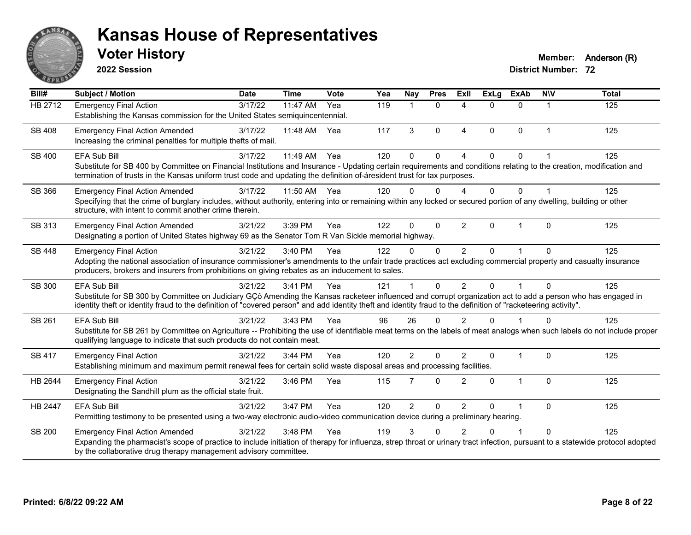

**2022 Session**

**Voter History Member:** Anderson (R)

| Bill#          | <b>Subject / Motion</b>                                                                                                                                                                                                                                                                                                                               | <b>Date</b> | <b>Time</b> | Vote | Yea | Nay            | <b>Pres</b>  | <b>Exll</b>    | <b>ExLg</b> | <b>ExAb</b>  | <b>NIV</b>   | <b>Total</b> |
|----------------|-------------------------------------------------------------------------------------------------------------------------------------------------------------------------------------------------------------------------------------------------------------------------------------------------------------------------------------------------------|-------------|-------------|------|-----|----------------|--------------|----------------|-------------|--------------|--------------|--------------|
| <b>HB 2712</b> | <b>Emergency Final Action</b><br>Establishing the Kansas commission for the United States semiquincentennial.                                                                                                                                                                                                                                         | 3/17/22     | 11:47 AM    | Yea  | 119 |                | $\Omega$     | $\Lambda$      | 0           | $\Omega$     | 1            | 125          |
| SB 408         | <b>Emergency Final Action Amended</b><br>Increasing the criminal penalties for multiple thefts of mail.                                                                                                                                                                                                                                               | 3/17/22     | 11:48 AM    | Yea  | 117 | 3              | $\Omega$     | $\overline{4}$ | $\Omega$    | $\mathbf{0}$ | $\mathbf 1$  | 125          |
| SB 400         | EFA Sub Bill<br>Substitute for SB 400 by Committee on Financial Institutions and Insurance - Updating certain requirements and conditions relating to the creation, modification and<br>termination of trusts in the Kansas uniform trust code and updating the definition of-áresident trust for tax purposes.                                       | 3/17/22     | 11:49 AM    | Yea  | 120 | $\Omega$       | $\Omega$     | $\Lambda$      | $\Omega$    | $\Omega$     |              | 125          |
| SB 366         | <b>Emergency Final Action Amended</b><br>Specifying that the crime of burglary includes, without authority, entering into or remaining within any locked or secured portion of any dwelling, building or other<br>structure, with intent to commit another crime therein.                                                                             | 3/17/22     | 11:50 AM    | Yea  | 120 | $\Omega$       | $\Omega$     | $\Delta$       | 0           | $\Omega$     |              | 125          |
| SB 313         | <b>Emergency Final Action Amended</b><br>Designating a portion of United States highway 69 as the Senator Tom R Van Sickle memorial highway.                                                                                                                                                                                                          | 3/21/22     | 3:39 PM     | Yea  | 122 | $\Omega$       | $\mathbf{0}$ | $\overline{2}$ | 0           | 1            | $\mathbf{0}$ | 125          |
| SB 448         | <b>Emergency Final Action</b><br>Adopting the national association of insurance commissioner's amendments to the unfair trade practices act excluding commercial property and casualty insurance<br>producers, brokers and insurers from prohibitions on giving rebates as an inducement to sales.                                                    | 3/21/22     | 3:40 PM     | Yea  | 122 | $\mathbf{0}$   | $\Omega$     | 2              | $\Omega$    |              | $\Omega$     | 125          |
| SB 300         | <b>EFA Sub Bill</b><br>Substitute for SB 300 by Committee on Judiciary GÇô Amending the Kansas racketeer influenced and corrupt organization act to add a person who has engaged in<br>identity theft or identity fraud to the definition of "covered person" and add identity theft and identity fraud to the definition of "racketeering activity". | 3/21/22     | 3:41 PM     | Yea  | 121 |                | $\Omega$     | $\mathfrak{p}$ | $\Omega$    |              | $\Omega$     | 125          |
| SB 261         | <b>EFA Sub Bill</b><br>Substitute for SB 261 by Committee on Agriculture -- Prohibiting the use of identifiable meat terms on the labels of meat analogs when such labels do not include proper<br>qualifying language to indicate that such products do not contain meat.                                                                            | 3/21/22     | 3:43 PM     | Yea  | 96  | 26             | $\Omega$     | $\mathfrak{p}$ | $\Omega$    |              | $\Omega$     | 125          |
| <b>SB 417</b>  | <b>Emergency Final Action</b><br>Establishing minimum and maximum permit renewal fees for certain solid waste disposal areas and processing facilities.                                                                                                                                                                                               | 3/21/22     | 3:44 PM     | Yea  | 120 | $\overline{2}$ | $\Omega$     | 2              | $\Omega$    | $\mathbf{1}$ | $\mathbf{0}$ | 125          |
| HB 2644        | <b>Emergency Final Action</b><br>Designating the Sandhill plum as the official state fruit.                                                                                                                                                                                                                                                           | 3/21/22     | 3:46 PM     | Yea  | 115 | $\overline{7}$ | $\Omega$     | $\overline{2}$ | $\Omega$    | $\mathbf{1}$ | $\Omega$     | 125          |
| <b>HB 2447</b> | EFA Sub Bill<br>Permitting testimony to be presented using a two-way electronic audio-video communication device during a preliminary hearing.                                                                                                                                                                                                        | 3/21/22     | 3:47 PM     | Yea  | 120 | $\overline{2}$ | $\mathbf{0}$ | $\overline{2}$ | 0           |              | $\mathbf 0$  | 125          |
| <b>SB 200</b>  | <b>Emergency Final Action Amended</b><br>Expanding the pharmacist's scope of practice to include initiation of therapy for influenza, strep throat or urinary tract infection, pursuant to a statewide protocol adopted<br>by the collaborative drug therapy management advisory committee.                                                           | 3/21/22     | 3:48 PM     | Yea  | 119 | 3              | ∩            | 2              | U           |              | $\Omega$     | 125          |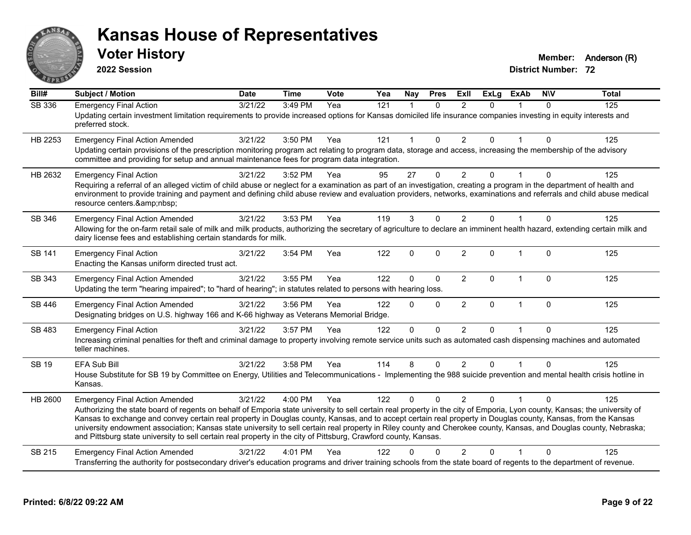

**2022 Session**

**Voter History Member:** Anderson (R)

| $\overline{BiII#}$ | <b>Subject / Motion</b>                                                                                                                                                                                                                                                                                                                                                                                                                                                                                                                                                                                                                                                      | <b>Date</b> | <b>Time</b> | Vote | Yea | Nay                  | <b>Pres</b>  | ExIl           | <b>ExLg</b> | <b>ExAb</b>  | <b>NIV</b>   | <b>Total</b> |
|--------------------|------------------------------------------------------------------------------------------------------------------------------------------------------------------------------------------------------------------------------------------------------------------------------------------------------------------------------------------------------------------------------------------------------------------------------------------------------------------------------------------------------------------------------------------------------------------------------------------------------------------------------------------------------------------------------|-------------|-------------|------|-----|----------------------|--------------|----------------|-------------|--------------|--------------|--------------|
| <b>SB 336</b>      | <b>Emergency Final Action</b><br>Updating certain investment limitation requirements to provide increased options for Kansas domiciled life insurance companies investing in equity interests and<br>preferred stock.                                                                                                                                                                                                                                                                                                                                                                                                                                                        | 3/21/22     | 3:49 PM     | Yea  | 121 | $\blacktriangleleft$ | $\Omega$     | $\overline{2}$ | 0           |              | $\Omega$     | 125          |
| HB 2253            | <b>Emergency Final Action Amended</b><br>Updating certain provisions of the prescription monitoring program act relating to program data, storage and access, increasing the membership of the advisory<br>committee and providing for setup and annual maintenance fees for program data integration.                                                                                                                                                                                                                                                                                                                                                                       | 3/21/22     | 3:50 PM     | Yea  | 121 | 1                    | $\Omega$     | $\overline{2}$ | 0           |              | $\Omega$     | 125          |
| HB 2632            | <b>Emergency Final Action</b><br>Requiring a referral of an alleged victim of child abuse or neglect for a examination as part of an investigation, creating a program in the department of health and<br>environment to provide training and payment and defining child abuse review and evaluation providers, networks, examinations and referrals and child abuse medical<br>resource centers.                                                                                                                                                                                                                                                                            | 3/21/22     | 3:52 PM     | Yea  | 95  | 27                   | $\mathbf{0}$ | 2              | 0           |              | $\Omega$     | 125          |
| SB 346             | <b>Emergency Final Action Amended</b><br>Allowing for the on-farm retail sale of milk and milk products, authorizing the secretary of agriculture to declare an imminent health hazard, extending certain milk and<br>dairy license fees and establishing certain standards for milk.                                                                                                                                                                                                                                                                                                                                                                                        | 3/21/22     | 3:53 PM     | Yea  | 119 | 3                    | $\Omega$     | $\overline{2}$ | 0           | 1            | $\Omega$     | 125          |
| SB 141             | <b>Emergency Final Action</b><br>Enacting the Kansas uniform directed trust act.                                                                                                                                                                                                                                                                                                                                                                                                                                                                                                                                                                                             | 3/21/22     | 3:54 PM     | Yea  | 122 | $\Omega$             | $\Omega$     | $\overline{2}$ | $\Omega$    | $\mathbf 1$  | $\Omega$     | 125          |
| SB 343             | <b>Emergency Final Action Amended</b><br>Updating the term "hearing impaired"; to "hard of hearing"; in statutes related to persons with hearing loss.                                                                                                                                                                                                                                                                                                                                                                                                                                                                                                                       | 3/21/22     | 3:55 PM     | Yea  | 122 | 0                    | $\Omega$     | $\overline{2}$ | 0           | 1            | $\Omega$     | 125          |
| SB 446             | <b>Emergency Final Action Amended</b><br>Designating bridges on U.S. highway 166 and K-66 highway as Veterans Memorial Bridge.                                                                                                                                                                                                                                                                                                                                                                                                                                                                                                                                               | 3/21/22     | 3:56 PM     | Yea  | 122 | 0                    | $\Omega$     | $\overline{2}$ | 0           | $\mathbf{1}$ | $\mathbf{0}$ | 125          |
| SB 483             | <b>Emergency Final Action</b><br>Increasing criminal penalties for theft and criminal damage to property involving remote service units such as automated cash dispensing machines and automated<br>teller machines.                                                                                                                                                                                                                                                                                                                                                                                                                                                         | 3/21/22     | 3:57 PM     | Yea  | 122 | 0                    | $\Omega$     | $\overline{2}$ | 0           |              | $\mathbf{0}$ | 125          |
| SB 19              | EFA Sub Bill<br>House Substitute for SB 19 by Committee on Energy, Utilities and Telecommunications - Implementing the 988 suicide prevention and mental health crisis hotline in<br>Kansas.                                                                                                                                                                                                                                                                                                                                                                                                                                                                                 | 3/21/22     | 3:58 PM     | Yea  | 114 | 8                    | 0            | $\overline{2}$ | $\Omega$    |              | $\Omega$     | 125          |
| HB 2600            | <b>Emergency Final Action Amended</b><br>Authorizing the state board of regents on behalf of Emporia state university to sell certain real property in the city of Emporia, Lyon county, Kansas; the university of<br>Kansas to exchange and convey certain real property in Douglas county, Kansas, and to accept certain real property in Douglas county, Kansas, from the Kansas<br>university endowment association; Kansas state university to sell certain real property in Riley county and Cherokee county, Kansas, and Douglas county, Nebraska;<br>and Pittsburg state university to sell certain real property in the city of Pittsburg, Crawford county, Kansas. | 3/21/22     | 4:00 PM     | Yea  | 122 | 0                    | $\Omega$     | 2              | 0           |              | $\Omega$     | 125          |
| SB 215             | <b>Emergency Final Action Amended</b><br>Transferring the authority for postsecondary driver's education programs and driver training schools from the state board of regents to the department of revenue.                                                                                                                                                                                                                                                                                                                                                                                                                                                                  | 3/21/22     | 4:01 PM     | Yea  | 122 | U                    |              | $\overline{2}$ | 0           |              | $\Omega$     | 125          |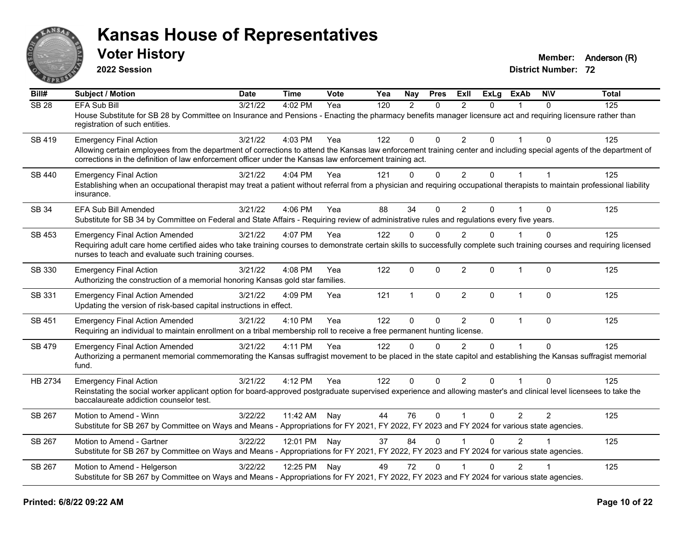

**2022 Session**

**Voter History Member:** Anderson (R)

| Bill#            | Subject / Motion                                                                                                                                                                                                                                                                | <b>Date</b> | <b>Time</b>  | <b>Vote</b> | Yea | Nay           | <b>Pres</b>  | <b>ExII</b>    | <b>ExLg</b> | <b>ExAb</b>    | <b>NIV</b> | <b>Total</b> |
|------------------|---------------------------------------------------------------------------------------------------------------------------------------------------------------------------------------------------------------------------------------------------------------------------------|-------------|--------------|-------------|-----|---------------|--------------|----------------|-------------|----------------|------------|--------------|
| SB <sub>28</sub> | <b>EFA Sub Bill</b>                                                                                                                                                                                                                                                             | 3/21/22     | 4:02 PM      | Yea         | 120 | $\mathcal{P}$ | $\mathbf{0}$ | $\mathcal{P}$  | 0           |                | $\Omega$   | 125          |
|                  | House Substitute for SB 28 by Committee on Insurance and Pensions - Enacting the pharmacy benefits manager licensure act and requiring licensure rather than<br>registration of such entities.                                                                                  |             |              |             |     |               |              |                |             |                |            |              |
| SB 419           | <b>Emergency Final Action</b>                                                                                                                                                                                                                                                   | 3/21/22     | 4:03 PM      | Yea         | 122 | $\Omega$      | $\Omega$     | $\overline{2}$ | $\Omega$    |                | $\Omega$   | 125          |
|                  | Allowing certain employees from the department of corrections to attend the Kansas law enforcement training center and including special agents of the department of<br>corrections in the definition of law enforcement officer under the Kansas law enforcement training act. |             |              |             |     |               |              |                |             |                |            |              |
| SB 440           | <b>Emergency Final Action</b>                                                                                                                                                                                                                                                   | 3/21/22     | 4:04 PM      | Yea         | 121 | $\mathbf 0$   | $\mathbf 0$  | $\overline{2}$ | 0           | $\mathbf{1}$   |            | 125          |
|                  | Establishing when an occupational therapist may treat a patient without referral from a physician and requiring occupational therapists to maintain professional liability<br>insurance.                                                                                        |             |              |             |     |               |              |                |             |                |            |              |
| <b>SB 34</b>     | EFA Sub Bill Amended                                                                                                                                                                                                                                                            | 3/21/22     | 4:06 PM      | Yea         | 88  | 34            | $\Omega$     | $\overline{2}$ | $\Omega$    |                | $\Omega$   | 125          |
|                  | Substitute for SB 34 by Committee on Federal and State Affairs - Requiring review of administrative rules and regulations every five years.                                                                                                                                     |             |              |             |     |               |              |                |             |                |            |              |
| SB 453           | <b>Emergency Final Action Amended</b>                                                                                                                                                                                                                                           | 3/21/22     | 4:07 PM      | Yea         | 122 | $\Omega$      | $\Omega$     | 2              | 0           |                | $\Omega$   | 125          |
|                  | Requiring adult care home certified aides who take training courses to demonstrate certain skills to successfully complete such training courses and requiring licensed<br>nurses to teach and evaluate such training courses.                                                  |             |              |             |     |               |              |                |             |                |            |              |
| SB 330           | <b>Emergency Final Action</b><br>Authorizing the construction of a memorial honoring Kansas gold star families.                                                                                                                                                                 | 3/21/22     | 4:08 PM      | Yea         | 122 | $\mathbf 0$   | $\mathbf 0$  | $\overline{2}$ | 0           | 1              | $\Omega$   | 125          |
| SB 331           | <b>Emergency Final Action Amended</b><br>Updating the version of risk-based capital instructions in effect.                                                                                                                                                                     | 3/21/22     | 4:09 PM      | Yea         | 121 | $\mathbf{1}$  | $\mathbf{0}$ | $\overline{2}$ | $\Omega$    | $\overline{1}$ | $\Omega$   | 125          |
| SB 451           | <b>Emergency Final Action Amended</b>                                                                                                                                                                                                                                           | 3/21/22     | 4:10 PM      | Yea         | 122 | $\mathbf{0}$  | $\Omega$     | $\overline{2}$ | 0           | $\mathbf{1}$   | $\Omega$   | 125          |
|                  | Requiring an individual to maintain enrollment on a tribal membership roll to receive a free permanent hunting license.                                                                                                                                                         |             |              |             |     |               |              |                |             |                |            |              |
| <b>SB 479</b>    | <b>Emergency Final Action Amended</b>                                                                                                                                                                                                                                           | 3/21/22     | 4:11 PM      | Yea         | 122 | $\Omega$      | $\Omega$     | $\mathfrak{p}$ | $\Omega$    | $\overline{1}$ | $\Omega$   | 125          |
|                  | Authorizing a permanent memorial commemorating the Kansas suffragist movement to be placed in the state capitol and establishing the Kansas suffragist memorial<br>fund.                                                                                                        |             |              |             |     |               |              |                |             |                |            |              |
| HB 2734          | <b>Emergency Final Action</b>                                                                                                                                                                                                                                                   | 3/21/22     | 4:12 PM      | Yea         | 122 | $\Omega$      | $\Omega$     | 2              | $\Omega$    |                | $\Omega$   | 125          |
|                  | Reinstating the social worker applicant option for board-approved postgraduate supervised experience and allowing master's and clinical level licensees to take the<br>baccalaureate addiction counselor test.                                                                  |             |              |             |     |               |              |                |             |                |            |              |
| SB 267           | Motion to Amend - Winn                                                                                                                                                                                                                                                          | 3/22/22     | 11:42 AM     | Nay         | 44  | 76            | $\Omega$     | $\overline{1}$ | $\Omega$    | $\overline{2}$ | 2          | 125          |
|                  | Substitute for SB 267 by Committee on Ways and Means - Appropriations for FY 2021, FY 2022, FY 2023 and FY 2024 for various state agencies.                                                                                                                                     |             |              |             |     |               |              |                |             |                |            |              |
| SB 267           | Motion to Amend - Gartner                                                                                                                                                                                                                                                       | 3/22/22     | 12:01 PM Nay |             | 37  | 84            | $\Omega$     |                | 0           | $\overline{2}$ |            | 125          |
|                  | Substitute for SB 267 by Committee on Ways and Means - Appropriations for FY 2021, FY 2022, FY 2023 and FY 2024 for various state agencies.                                                                                                                                     |             |              |             |     |               |              |                |             |                |            |              |
| SB 267           | Motion to Amend - Helgerson                                                                                                                                                                                                                                                     | 3/22/22     | 12:25 PM     | Nay         | 49  | 72            | $\Omega$     |                | 0           | $\overline{2}$ |            | 125          |
|                  | Substitute for SB 267 by Committee on Ways and Means - Appropriations for FY 2021, FY 2022, FY 2023 and FY 2024 for various state agencies.                                                                                                                                     |             |              |             |     |               |              |                |             |                |            |              |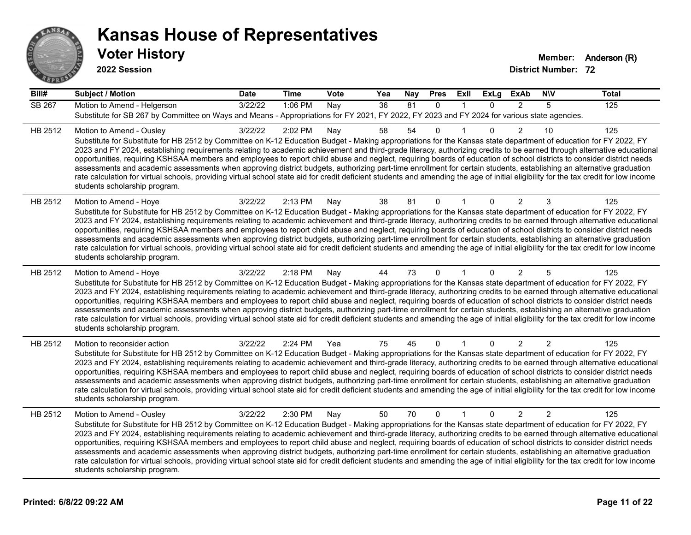

| Bill#   | <b>Subject / Motion</b>                                                                                                                                                                                                                                                                                                                                                                                                                                                                                                                                                                                                                                                                                                                                                                                                                                                                                                                             | <b>Date</b> | <b>Time</b> | <b>Vote</b> | Yea | <b>Nay</b> | <b>Pres</b>  | ExII        | <b>ExLg</b>  | <b>ExAb</b>    | <b>NIV</b>     | <b>Total</b> |
|---------|-----------------------------------------------------------------------------------------------------------------------------------------------------------------------------------------------------------------------------------------------------------------------------------------------------------------------------------------------------------------------------------------------------------------------------------------------------------------------------------------------------------------------------------------------------------------------------------------------------------------------------------------------------------------------------------------------------------------------------------------------------------------------------------------------------------------------------------------------------------------------------------------------------------------------------------------------------|-------------|-------------|-------------|-----|------------|--------------|-------------|--------------|----------------|----------------|--------------|
| SB 267  | Motion to Amend - Helgerson<br>Substitute for SB 267 by Committee on Ways and Means - Appropriations for FY 2021, FY 2022, FY 2023 and FY 2024 for various state agencies.                                                                                                                                                                                                                                                                                                                                                                                                                                                                                                                                                                                                                                                                                                                                                                          | 3/22/22     | 1:06 PM     | Nay         | 36  | 81         | $\Omega$     | $\mathbf 1$ | $\mathbf{0}$ | $\overline{2}$ | 5              | 125          |
| HB 2512 | Motion to Amend - Ousley<br>Substitute for Substitute for HB 2512 by Committee on K-12 Education Budget - Making appropriations for the Kansas state department of education for FY 2022, FY<br>2023 and FY 2024, establishing requirements relating to academic achievement and third-grade literacy, authorizing credits to be earned through alternative educational<br>opportunities, requiring KSHSAA members and employees to report child abuse and neglect, requiring boards of education of school districts to consider district needs<br>assessments and academic assessments when approving district budgets, authorizing part-time enrollment for certain students, establishing an alternative graduation<br>rate calculation for virtual schools, providing virtual school state aid for credit deficient students and amending the age of initial eligibility for the tax credit for low income<br>students scholarship program.    | 3/22/22     | 2:02 PM     | Nay         | 58  | 54         | $\mathbf 0$  |             | $\Omega$     | $\overline{2}$ | 10             | 125          |
| HB 2512 | Motion to Amend - Hoye<br>Substitute for Substitute for HB 2512 by Committee on K-12 Education Budget - Making appropriations for the Kansas state department of education for FY 2022, FY<br>2023 and FY 2024, establishing requirements relating to academic achievement and third-grade literacy, authorizing credits to be earned through alternative educational<br>opportunities, requiring KSHSAA members and employees to report child abuse and neglect, requiring boards of education of school districts to consider district needs<br>assessments and academic assessments when approving district budgets, authorizing part-time enrollment for certain students, establishing an alternative graduation<br>rate calculation for virtual schools, providing virtual school state aid for credit deficient students and amending the age of initial eligibility for the tax credit for low income<br>students scholarship program.      | 3/22/22     | 2:13 PM     | Nay         | 38  | 81         | $\mathbf 0$  |             | 0            | $\overline{c}$ | 3              | 125          |
| HB 2512 | Motion to Amend - Hoye<br>Substitute for Substitute for HB 2512 by Committee on K-12 Education Budget - Making appropriations for the Kansas state department of education for FY 2022, FY<br>2023 and FY 2024, establishing requirements relating to academic achievement and third-grade literacy, authorizing credits to be earned through alternative educational<br>opportunities, requiring KSHSAA members and employees to report child abuse and neglect, requiring boards of education of school districts to consider district needs<br>assessments and academic assessments when approving district budgets, authorizing part-time enrollment for certain students, establishing an alternative graduation<br>rate calculation for virtual schools, providing virtual school state aid for credit deficient students and amending the age of initial eligibility for the tax credit for low income<br>students scholarship program.      | 3/22/22     | 2:18 PM     | Nay         | 44  | 73         | $\mathbf{0}$ |             | $\Omega$     | $\overline{2}$ | 5              | 125          |
| HB 2512 | Motion to reconsider action<br>Substitute for Substitute for HB 2512 by Committee on K-12 Education Budget - Making appropriations for the Kansas state department of education for FY 2022, FY<br>2023 and FY 2024, establishing requirements relating to academic achievement and third-grade literacy, authorizing credits to be earned through alternative educational<br>opportunities, requiring KSHSAA members and employees to report child abuse and neglect, requiring boards of education of school districts to consider district needs<br>assessments and academic assessments when approving district budgets, authorizing part-time enrollment for certain students, establishing an alternative graduation<br>rate calculation for virtual schools, providing virtual school state aid for credit deficient students and amending the age of initial eligibility for the tax credit for low income<br>students scholarship program. | 3/22/22     | 2:24 PM     | Yea         | 75  | 45         | 0            |             | 0            | 2              | $\overline{2}$ | 125          |
| HB 2512 | Motion to Amend - Ousley<br>Substitute for Substitute for HB 2512 by Committee on K-12 Education Budget - Making appropriations for the Kansas state department of education for FY 2022, FY<br>2023 and FY 2024, establishing requirements relating to academic achievement and third-grade literacy, authorizing credits to be earned through alternative educational<br>opportunities, requiring KSHSAA members and employees to report child abuse and neglect, requiring boards of education of school districts to consider district needs<br>assessments and academic assessments when approving district budgets, authorizing part-time enrollment for certain students, establishing an alternative graduation<br>rate calculation for virtual schools, providing virtual school state aid for credit deficient students and amending the age of initial eligibility for the tax credit for low income<br>students scholarship program.    | 3/22/22     | 2:30 PM     | Nay         | 50  | 70         | $\Omega$     | $\mathbf 1$ | $\mathbf{0}$ | $\overline{2}$ | 2              | 125          |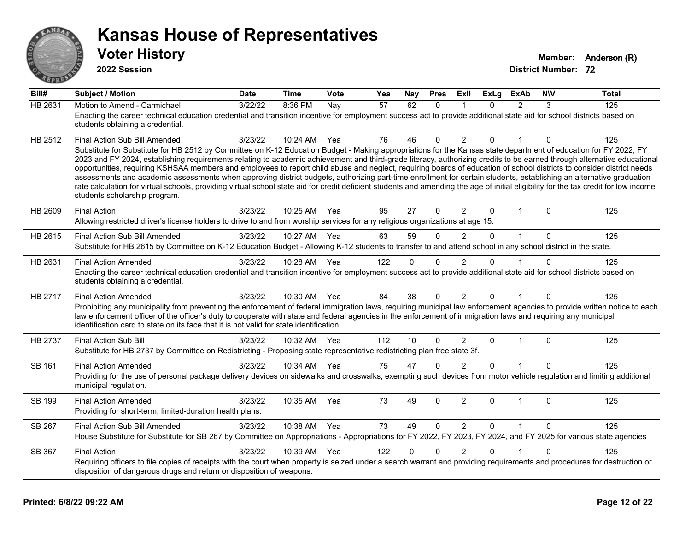

**2022 Session**

| Bill#          | <b>Subject / Motion</b>                                                                                                                                                                                                                                                                                                                                     | <b>Date</b> | <b>Time</b> | Vote | Yea | Nay          | <b>Pres</b>  | ExII           | <b>ExLg</b> | <b>ExAb</b>    | <b>NIV</b>   | <b>Total</b> |
|----------------|-------------------------------------------------------------------------------------------------------------------------------------------------------------------------------------------------------------------------------------------------------------------------------------------------------------------------------------------------------------|-------------|-------------|------|-----|--------------|--------------|----------------|-------------|----------------|--------------|--------------|
| <b>HB 2631</b> | Motion to Amend - Carmichael                                                                                                                                                                                                                                                                                                                                | 3/22/22     | 8:36 PM     | Nay  | 57  | 62           | $\mathbf{0}$ |                | $\Omega$    | $\overline{2}$ | 3            | 125          |
|                | Enacting the career technical education credential and transition incentive for employment success act to provide additional state aid for school districts based on<br>students obtaining a credential.                                                                                                                                                    |             |             |      |     |              |              |                |             |                |              |              |
|                |                                                                                                                                                                                                                                                                                                                                                             |             |             |      |     |              |              |                |             |                |              |              |
| HB 2512        | <b>Final Action Sub Bill Amended</b>                                                                                                                                                                                                                                                                                                                        | 3/23/22     | 10:24 AM    | Yea  | 76  | 46           | 0            | 2              | 0           |                | 0            | 125          |
|                | Substitute for Substitute for HB 2512 by Committee on K-12 Education Budget - Making appropriations for the Kansas state department of education for FY 2022, FY<br>2023 and FY 2024, establishing requirements relating to academic achievement and third-grade literacy, authorizing credits to be earned through alternative educational                 |             |             |      |     |              |              |                |             |                |              |              |
|                | opportunities, requiring KSHSAA members and employees to report child abuse and neglect, requiring boards of education of school districts to consider district needs                                                                                                                                                                                       |             |             |      |     |              |              |                |             |                |              |              |
|                | assessments and academic assessments when approving district budgets, authorizing part-time enrollment for certain students, establishing an alternative graduation<br>rate calculation for virtual schools, providing virtual school state aid for credit deficient students and amending the age of initial eligibility for the tax credit for low income |             |             |      |     |              |              |                |             |                |              |              |
|                | students scholarship program.                                                                                                                                                                                                                                                                                                                               |             |             |      |     |              |              |                |             |                |              |              |
| HB 2609        | <b>Final Action</b>                                                                                                                                                                                                                                                                                                                                         | 3/23/22     | 10:25 AM    | Yea  | 95  | 27           | $\Omega$     | $\overline{2}$ | $\Omega$    | $\mathbf{1}$   | $\Omega$     | 125          |
|                | Allowing restricted driver's license holders to drive to and from worship services for any religious organizations at age 15.                                                                                                                                                                                                                               |             |             |      |     |              |              |                |             |                |              |              |
| HB 2615        | Final Action Sub Bill Amended                                                                                                                                                                                                                                                                                                                               | 3/23/22     | 10:27 AM    | Yea  | 63  | 59           | $\Omega$     | $\overline{2}$ | $\Omega$    | $\mathbf{1}$   | $\mathbf{0}$ | 125          |
|                | Substitute for HB 2615 by Committee on K-12 Education Budget - Allowing K-12 students to transfer to and attend school in any school district in the state.                                                                                                                                                                                                 |             |             |      |     |              |              |                |             |                |              |              |
| HB 2631        | <b>Final Action Amended</b>                                                                                                                                                                                                                                                                                                                                 | 3/23/22     | 10:28 AM    | Yea  | 122 | $\Omega$     | $\mathbf{0}$ | $\overline{2}$ | $\Omega$    |                | $\Omega$     | 125          |
|                | Enacting the career technical education credential and transition incentive for employment success act to provide additional state aid for school districts based on<br>students obtaining a credential.                                                                                                                                                    |             |             |      |     |              |              |                |             |                |              |              |
|                |                                                                                                                                                                                                                                                                                                                                                             |             |             |      |     |              |              |                |             |                |              |              |
| HB 2717        | <b>Final Action Amended</b><br>Prohibiting any municipality from preventing the enforcement of federal immigration laws, requiring municipal law enforcement agencies to provide written notice to each                                                                                                                                                     | 3/23/22     | 10:30 AM    | Yea  | 84  | 38           | $\mathbf{0}$ | $\overline{2}$ | $\Omega$    | 1              | 0            | 125          |
|                | law enforcement officer of the officer's duty to cooperate with state and federal agencies in the enforcement of immigration laws and requiring any municipal                                                                                                                                                                                               |             |             |      |     |              |              |                |             |                |              |              |
|                | identification card to state on its face that it is not valid for state identification.                                                                                                                                                                                                                                                                     |             |             |      |     |              |              |                |             |                |              |              |
| <b>HB 2737</b> | <b>Final Action Sub Bill</b>                                                                                                                                                                                                                                                                                                                                | 3/23/22     | 10:32 AM    | Yea  | 112 | 10           | $\Omega$     | $\overline{2}$ | $\Omega$    | $\mathbf 1$    | $\Omega$     | 125          |
|                | Substitute for HB 2737 by Committee on Redistricting - Proposing state representative redistricting plan free state 3f.                                                                                                                                                                                                                                     |             |             |      |     |              |              |                |             |                |              |              |
| SB 161         | <b>Final Action Amended</b>                                                                                                                                                                                                                                                                                                                                 | 3/23/22     | 10:34 AM    | Yea  | 75  | 47           | $\mathbf{0}$ | 2              | $\Omega$    |                | $\Omega$     | 125          |
|                | Providing for the use of personal package delivery devices on sidewalks and crosswalks, exempting such devices from motor vehicle regulation and limiting additional<br>municipal regulation.                                                                                                                                                               |             |             |      |     |              |              |                |             |                |              |              |
| <b>SB 199</b>  | <b>Final Action Amended</b>                                                                                                                                                                                                                                                                                                                                 | 3/23/22     | 10:35 AM    | Yea  | 73  | 49           | 0            | $\overline{2}$ | $\Omega$    | $\overline{1}$ | $\Omega$     | 125          |
|                | Providing for short-term, limited-duration health plans.                                                                                                                                                                                                                                                                                                    |             |             |      |     |              |              |                |             |                |              |              |
| SB 267         | Final Action Sub Bill Amended                                                                                                                                                                                                                                                                                                                               | 3/23/22     | 10:38 AM    | Yea  | 73  | 49           | $\Omega$     | $\overline{2}$ | $\Omega$    | $\overline{1}$ | $\Omega$     | 125          |
|                | House Substitute for Substitute for SB 267 by Committee on Appropriations - Appropriations for FY 2022, FY 2023, FY 2024, and FY 2025 for various state agencies                                                                                                                                                                                            |             |             |      |     |              |              |                |             |                |              |              |
| SB 367         | <b>Final Action</b>                                                                                                                                                                                                                                                                                                                                         | 3/23/22     | 10:39 AM    | Yea  | 122 | $\mathbf{0}$ | $\mathbf 0$  | $\overline{2}$ | $\Omega$    |                | $\Omega$     | 125          |
|                | Requiring officers to file copies of receipts with the court when property is seized under a search warrant and providing requirements and procedures for destruction or<br>disposition of dangerous drugs and return or disposition of weapons.                                                                                                            |             |             |      |     |              |              |                |             |                |              |              |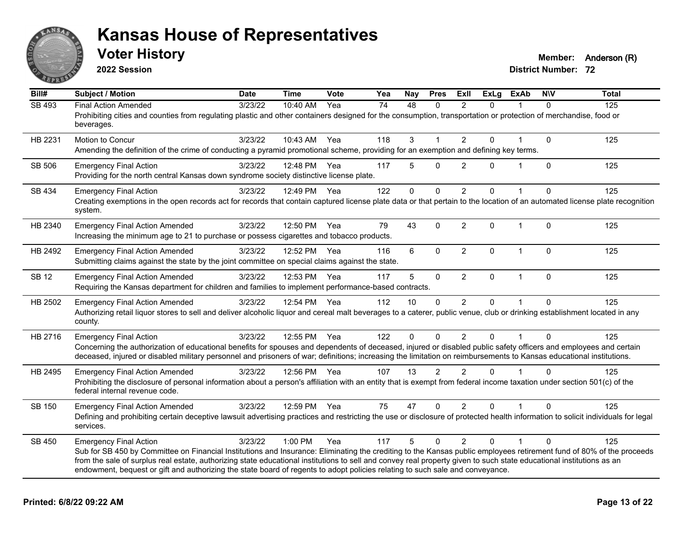

**2022 Session**

**Voter History Member:** Anderson (R)

| Bill#         | <b>Subject / Motion</b>                                                                                                                                                                                  | <b>Date</b> | <b>Time</b>  | Vote | Yea | Nay         | <b>Pres</b>  | ExII           | <b>ExLg</b> | <b>ExAb</b>  | <b>NIV</b>   | <b>Total</b> |
|---------------|----------------------------------------------------------------------------------------------------------------------------------------------------------------------------------------------------------|-------------|--------------|------|-----|-------------|--------------|----------------|-------------|--------------|--------------|--------------|
| <b>SB 493</b> | <b>Final Action Amended</b>                                                                                                                                                                              | 3/23/22     | 10:40 AM     | Yea  | 74  | 48          | $\mathbf{0}$ | $\mathcal{P}$  | $\Omega$    |              | $\Omega$     | 125          |
|               | Prohibiting cities and counties from regulating plastic and other containers designed for the consumption, transportation or protection of merchandise, food or<br>beverages.                            |             |              |      |     |             |              |                |             |              |              |              |
| HB 2231       | Motion to Concur                                                                                                                                                                                         | 3/23/22     | 10:43 AM     | Yea  | 118 | 3           |              | 2              | $\Omega$    |              | $\mathbf 0$  | 125          |
|               | Amending the definition of the crime of conducting a pyramid promotional scheme, providing for an exemption and defining key terms.                                                                      |             |              |      |     |             |              |                |             |              |              |              |
| SB 506        | <b>Emergency Final Action</b>                                                                                                                                                                            | 3/23/22     | 12:48 PM     | Yea  | 117 | 5           | $\Omega$     | 2              | $\Omega$    | $\mathbf{1}$ | $\Omega$     | 125          |
|               | Providing for the north central Kansas down syndrome society distinctive license plate.                                                                                                                  |             |              |      |     |             |              |                |             |              |              |              |
| SB 434        | <b>Emergency Final Action</b>                                                                                                                                                                            | 3/23/22     | 12:49 PM     | Yea  | 122 | $\mathbf 0$ | $\mathbf 0$  | $\overline{2}$ | $\Omega$    | $\mathbf 1$  | $\Omega$     | 125          |
|               | Creating exemptions in the open records act for records that contain captured license plate data or that pertain to the location of an automated license plate recognition<br>system.                    |             |              |      |     |             |              |                |             |              |              |              |
| HB 2340       | <b>Emergency Final Action Amended</b>                                                                                                                                                                    | 3/23/22     | 12:50 PM     | Yea  | 79  | 43          | $\Omega$     | 2              | $\Omega$    | $\mathbf 1$  | $\Omega$     | 125          |
|               | Increasing the minimum age to 21 to purchase or possess cigarettes and tobacco products.                                                                                                                 |             |              |      |     |             |              |                |             |              |              |              |
| HB 2492       | <b>Emergency Final Action Amended</b>                                                                                                                                                                    | 3/23/22     | 12:52 PM     | Yea  | 116 | 6           | $\Omega$     | $\overline{2}$ | $\Omega$    | $\mathbf{1}$ | $\mathbf{0}$ | 125          |
|               | Submitting claims against the state by the joint committee on special claims against the state.                                                                                                          |             |              |      |     |             |              |                |             |              |              |              |
| <b>SB 12</b>  | <b>Emergency Final Action Amended</b>                                                                                                                                                                    | 3/23/22     | 12:53 PM     | Yea  | 117 | 5           | $\mathbf 0$  | $\overline{2}$ | 0           | $\mathbf{1}$ | $\Omega$     | 125          |
|               | Requiring the Kansas department for children and families to implement performance-based contracts.                                                                                                      |             |              |      |     |             |              |                |             |              |              |              |
| HB 2502       | <b>Emergency Final Action Amended</b>                                                                                                                                                                    | 3/23/22     | 12:54 PM Yea |      | 112 | 10          | $\mathbf 0$  | $\overline{2}$ | 0           |              | $\Omega$     | 125          |
|               | Authorizing retail liquor stores to sell and deliver alcoholic liquor and cereal malt beverages to a caterer, public venue, club or drinking establishment located in any<br>county.                     |             |              |      |     |             |              |                |             |              |              |              |
| HB 2716       | <b>Emergency Final Action</b>                                                                                                                                                                            | 3/23/22     | 12:55 PM     | Yea  | 122 | $\Omega$    | $\Omega$     | 2              | $\Omega$    |              | $\Omega$     | 125          |
|               | Concerning the authorization of educational benefits for spouses and dependents of deceased, injured or disabled public safety officers and employees and certain                                        |             |              |      |     |             |              |                |             |              |              |              |
|               | deceased, injured or disabled military personnel and prisoners of war; definitions; increasing the limitation on reimbursements to Kansas educational institutions.                                      |             |              |      |     |             |              |                |             |              |              |              |
| HB 2495       | <b>Emergency Final Action Amended</b>                                                                                                                                                                    | 3/23/22     | 12:56 PM Yea |      | 107 | 13          | 2            | $\mathfrak{p}$ | $\Omega$    |              | $\Omega$     | 125          |
|               | Prohibiting the disclosure of personal information about a person's affiliation with an entity that is exempt from federal income taxation under section 501(c) of the<br>federal internal revenue code. |             |              |      |     |             |              |                |             |              |              |              |
| SB 150        | <b>Emergency Final Action Amended</b>                                                                                                                                                                    | 3/23/22     | 12:59 PM     | Yea  | 75  | 47          | $\Omega$     | 2              | $\Omega$    |              | $\Omega$     | 125          |
|               | Defining and prohibiting certain deceptive lawsuit advertising practices and restricting the use or disclosure of protected health information to solicit individuals for legal<br>services.             |             |              |      |     |             |              |                |             |              |              |              |
| SB 450        | <b>Emergency Final Action</b>                                                                                                                                                                            | 3/23/22     | 1:00 PM      | Yea  | 117 | 5           | $\Omega$     | 2              | $\Omega$    | 1            | $\Omega$     | 125          |
|               | Sub for SB 450 by Committee on Financial Institutions and Insurance: Eliminating the crediting to the Kansas public employees retirement fund of 80% of the proceeds                                     |             |              |      |     |             |              |                |             |              |              |              |
|               | from the sale of surplus real estate, authorizing state educational institutions to sell and convey real property given to such state educational institutions as an                                     |             |              |      |     |             |              |                |             |              |              |              |
|               | endowment, bequest or gift and authorizing the state board of regents to adopt policies relating to such sale and conveyance.                                                                            |             |              |      |     |             |              |                |             |              |              |              |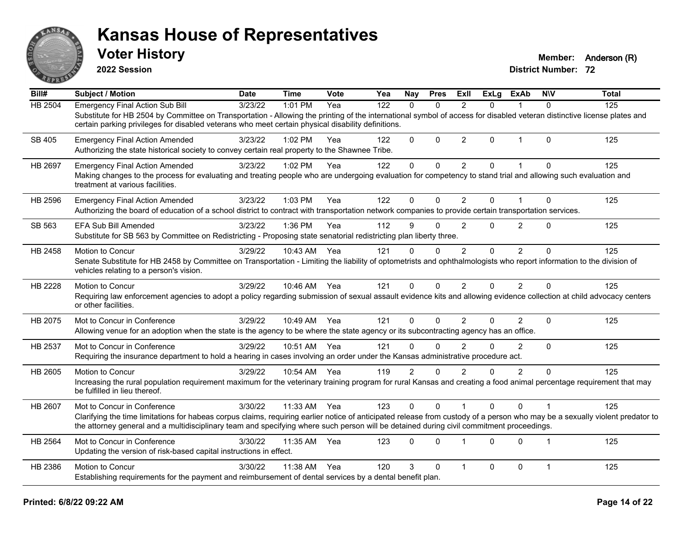

**2022 Session**

**Voter History Member:** Anderson (R)

| Bill#          | <b>Subject / Motion</b>                                                                                                                                                                                                                                                                                                  | <b>Date</b> | <b>Time</b>  | Vote | Yea | <b>Nay</b>     | <b>Pres</b> | ExII           | <b>ExLg</b> | <b>ExAb</b>    | <b>NIV</b>     | <b>Total</b> |
|----------------|--------------------------------------------------------------------------------------------------------------------------------------------------------------------------------------------------------------------------------------------------------------------------------------------------------------------------|-------------|--------------|------|-----|----------------|-------------|----------------|-------------|----------------|----------------|--------------|
| <b>HB 2504</b> | <b>Emergency Final Action Sub Bill</b>                                                                                                                                                                                                                                                                                   | 3/23/22     | 1:01 PM      | Yea  | 122 | $\Omega$       | $\Omega$    | $\mathcal{P}$  | $\Omega$    | 1              | $\Omega$       | 125          |
|                | Substitute for HB 2504 by Committee on Transportation - Allowing the printing of the international symbol of access for disabled veteran distinctive license plates and<br>certain parking privileges for disabled veterans who meet certain physical disability definitions.                                            |             |              |      |     |                |             |                |             |                |                |              |
| SB 405         | <b>Emergency Final Action Amended</b><br>Authorizing the state historical society to convey certain real property to the Shawnee Tribe.                                                                                                                                                                                  | 3/23/22     | 1:02 PM      | Yea  | 122 | $\mathbf 0$    | $\Omega$    | $\overline{2}$ | $\Omega$    | $\mathbf{1}$   | $\Omega$       | 125          |
| HB 2697        | <b>Emergency Final Action Amended</b>                                                                                                                                                                                                                                                                                    | 3/23/22     | 1:02 PM      | Yea  | 122 | $\mathbf 0$    | $\mathbf 0$ | $\overline{2}$ | $\Omega$    | 1              | $\Omega$       | 125          |
|                | Making changes to the process for evaluating and treating people who are undergoing evaluation for competency to stand trial and allowing such evaluation and<br>treatment at various facilities.                                                                                                                        |             |              |      |     |                |             |                |             |                |                |              |
| HB 2596        | <b>Emergency Final Action Amended</b>                                                                                                                                                                                                                                                                                    | 3/23/22     | 1:03 PM      | Yea  | 122 | $\mathbf{0}$   | $\Omega$    | $\overline{2}$ | $\Omega$    | 1              | $\Omega$       | 125          |
|                | Authorizing the board of education of a school district to contract with transportation network companies to provide certain transportation services.                                                                                                                                                                    |             |              |      |     |                |             |                |             |                |                |              |
| SB 563         | <b>EFA Sub Bill Amended</b>                                                                                                                                                                                                                                                                                              | 3/23/22     | 1:36 PM      | Yea  | 112 | 9              | $\Omega$    | $\overline{2}$ | 0           | $\overline{2}$ | $\Omega$       | 125          |
|                | Substitute for SB 563 by Committee on Redistricting - Proposing state senatorial redistricting plan liberty three.                                                                                                                                                                                                       |             |              |      |     |                |             |                |             |                |                |              |
| HB 2458        | Motion to Concur                                                                                                                                                                                                                                                                                                         | 3/29/22     | 10:43 AM     | Yea  | 121 | $\mathbf{0}$   | $\Omega$    | $\overline{2}$ | $\Omega$    | $\overline{2}$ | $\Omega$       | 125          |
|                | Senate Substitute for HB 2458 by Committee on Transportation - Limiting the liability of optometrists and ophthalmologists who report information to the division of<br>vehicles relating to a person's vision.                                                                                                          |             |              |      |     |                |             |                |             |                |                |              |
| <b>HB 2228</b> | Motion to Concur                                                                                                                                                                                                                                                                                                         | 3/29/22     | 10:46 AM Yea |      | 121 | $\mathbf{0}$   | $\Omega$    | $\overline{2}$ | 0           | $\overline{2}$ | $\Omega$       | 125          |
|                | Requiring law enforcement agencies to adopt a policy regarding submission of sexual assault evidence kits and allowing evidence collection at child advocacy centers<br>or other facilities.                                                                                                                             |             |              |      |     |                |             |                |             |                |                |              |
| HB 2075        | Mot to Concur in Conference                                                                                                                                                                                                                                                                                              | 3/29/22     | 10:49 AM     | Yea  | 121 | $\mathbf 0$    | $\Omega$    | $\overline{2}$ | $\Omega$    | $\overline{2}$ | $\mathbf 0$    | 125          |
|                | Allowing venue for an adoption when the state is the agency to be where the state agency or its subcontracting agency has an office.                                                                                                                                                                                     |             |              |      |     |                |             |                |             |                |                |              |
| HB 2537        | Mot to Concur in Conference                                                                                                                                                                                                                                                                                              | 3/29/22     | 10:51 AM     | Yea  | 121 | $\mathbf{0}$   | $\Omega$    | $\overline{2}$ | 0           | 2              | $\Omega$       | 125          |
|                | Requiring the insurance department to hold a hearing in cases involving an order under the Kansas administrative procedure act.                                                                                                                                                                                          |             |              |      |     |                |             |                |             |                |                |              |
| HB 2605        | Motion to Concur                                                                                                                                                                                                                                                                                                         | 3/29/22     | 10:54 AM     | Yea  | 119 | $\overline{2}$ | $\Omega$    | 2              | 0           | $\overline{2}$ | $\Omega$       | 125          |
|                | Increasing the rural population requirement maximum for the veterinary training program for rural Kansas and creating a food animal percentage requirement that may<br>be fulfilled in lieu thereof.                                                                                                                     |             |              |      |     |                |             |                |             |                |                |              |
| HB 2607        | Mot to Concur in Conference                                                                                                                                                                                                                                                                                              | 3/30/22     | 11:33 AM     | Yea  | 123 | $\mathbf{0}$   | $\Omega$    |                | $\Omega$    | $\Omega$       |                | 125          |
|                | Clarifying the time limitations for habeas corpus claims, requiring earlier notice of anticipated release from custody of a person who may be a sexually violent predator to<br>the attorney general and a multidisciplinary team and specifying where such person will be detained during civil commitment proceedings. |             |              |      |     |                |             |                |             |                |                |              |
| HB 2564        | Mot to Concur in Conference                                                                                                                                                                                                                                                                                              | 3/30/22     | 11:35 AM     | Yea  | 123 | $\mathbf{0}$   | $\Omega$    | $\mathbf{1}$   | 0           | $\Omega$       | $\overline{1}$ | 125          |
|                | Updating the version of risk-based capital instructions in effect.                                                                                                                                                                                                                                                       |             |              |      |     |                |             |                |             |                |                |              |
| HB 2386        | <b>Motion to Concur</b>                                                                                                                                                                                                                                                                                                  | 3/30/22     | 11:38 AM     | Yea  | 120 | 3              | $\Omega$    | $\overline{1}$ | 0           | $\mathbf 0$    | $\mathbf 1$    | 125          |
|                | Establishing requirements for the payment and reimbursement of dental services by a dental benefit plan.                                                                                                                                                                                                                 |             |              |      |     |                |             |                |             |                |                |              |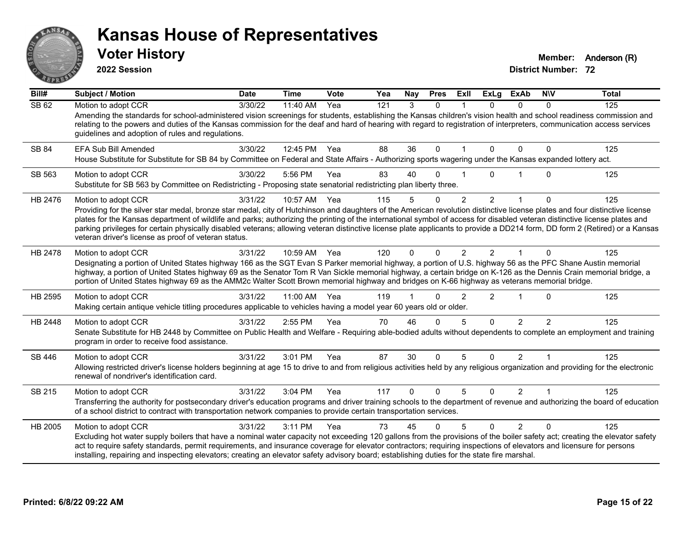

**2022 Session**

**Voter History Member:** Anderson (R)

| Bill#        | <b>Subject / Motion</b>                                                                                                                                                                                                                                                                                                                                                                                                                                                                                                                                                                                                 | <b>Date</b>      | <b>Time</b> | Vote | Yea | Nay      | <b>Pres</b>  | ExII           | <b>ExLg</b>    | <b>ExAb</b>    | <b>NIV</b>     | <b>Total</b> |
|--------------|-------------------------------------------------------------------------------------------------------------------------------------------------------------------------------------------------------------------------------------------------------------------------------------------------------------------------------------------------------------------------------------------------------------------------------------------------------------------------------------------------------------------------------------------------------------------------------------------------------------------------|------------------|-------------|------|-----|----------|--------------|----------------|----------------|----------------|----------------|--------------|
| <b>SB 62</b> | Motion to adopt CCR<br>Amending the standards for school-administered vision screenings for students, establishing the Kansas children's vision health and school readiness commission and<br>relating to the powers and duties of the Kansas commission for the deaf and hard of hearing with regard to registration of interpreters, communication access services<br>guidelines and adoption of rules and regulations.                                                                                                                                                                                               | $\sqrt{3}/30/22$ | 11:40 AM    | Yea  | 121 | 3        | $\Omega$     |                | $\Omega$       | $\Omega$       | $\Omega$       | 125          |
| SB 84        | EFA Sub Bill Amended<br>House Substitute for Substitute for SB 84 by Committee on Federal and State Affairs - Authorizing sports wagering under the Kansas expanded lottery act.                                                                                                                                                                                                                                                                                                                                                                                                                                        | 3/30/22          | 12:45 PM    | Yea  | 88  | 36       | $\mathbf{0}$ |                | $\Omega$       | $\Omega$       | 0              | 125          |
| SB 563       | Motion to adopt CCR<br>Substitute for SB 563 by Committee on Redistricting - Proposing state senatorial redistricting plan liberty three.                                                                                                                                                                                                                                                                                                                                                                                                                                                                               | 3/30/22          | 5:56 PM     | Yea  | 83  | 40       | $\Omega$     |                | 0              |                | $\Omega$       | 125          |
| HB 2476      | Motion to adopt CCR<br>Providing for the silver star medal, bronze star medal, city of Hutchinson and daughters of the American revolution distinctive license plates and four distinctive license<br>plates for the Kansas department of wildlife and parks; authorizing the printing of the international symbol of access for disabled veteran distinctive license plates and<br>parking privileges for certain physically disabled veterans; allowing veteran distinctive license plate applicants to provide a DD214 form, DD form 2 (Retired) or a Kansas<br>veteran driver's license as proof of veteran status. | 3/31/22          | 10:57 AM    | Yea  | 115 | 5        | $\mathbf{0}$ | $\overline{2}$ | $\overline{2}$ | 1              | $\Omega$       | 125          |
| HB 2478      | Motion to adopt CCR<br>Designating a portion of United States highway 166 as the SGT Evan S Parker memorial highway, a portion of U.S. highway 56 as the PFC Shane Austin memorial<br>highway, a portion of United States highway 69 as the Senator Tom R Van Sickle memorial highway, a certain bridge on K-126 as the Dennis Crain memorial bridge, a<br>portion of United States highway 69 as the AMM2c Walter Scott Brown memorial highway and bridges on K-66 highway as veterans memorial bridge.                                                                                                                | 3/31/22          | 10:59 AM    | Yea  | 120 | $\Omega$ | $\Omega$     | 2              | $\mathcal{P}$  |                | $\Omega$       | 125          |
| HB 2595      | Motion to adopt CCR<br>Making certain antique vehicle titling procedures applicable to vehicles having a model year 60 years old or older.                                                                                                                                                                                                                                                                                                                                                                                                                                                                              | 3/31/22          | 11:00 AM    | Yea  | 119 |          | $\Omega$     | $\overline{2}$ | $\overline{2}$ | 1              | $\Omega$       | 125          |
| HB 2448      | Motion to adopt CCR<br>Senate Substitute for HB 2448 by Committee on Public Health and Welfare - Requiring able-bodied adults without dependents to complete an employment and training<br>program in order to receive food assistance.                                                                                                                                                                                                                                                                                                                                                                                 | 3/31/22          | 2:55 PM     | Yea  | 70  | 46       | $\Omega$     | 5              | $\Omega$       | $\overline{2}$ | $\mathfrak{p}$ | 125          |
| SB 446       | Motion to adopt CCR<br>Allowing restricted driver's license holders beginning at age 15 to drive to and from religious activities held by any religious organization and providing for the electronic<br>renewal of nondriver's identification card.                                                                                                                                                                                                                                                                                                                                                                    | 3/31/22          | 3:01 PM     | Yea  | 87  | 30       | $\Omega$     | 5              | $\Omega$       | $\overline{2}$ | $\overline{1}$ | 125          |
| SB 215       | Motion to adopt CCR<br>Transferring the authority for postsecondary driver's education programs and driver training schools to the department of revenue and authorizing the board of education<br>of a school district to contract with transportation network companies to provide certain transportation services.                                                                                                                                                                                                                                                                                                   | 3/31/22          | 3:04 PM     | Yea  | 117 | $\Omega$ | $\Omega$     | 5              | $\Omega$       | $\mathcal{P}$  | $\mathbf{1}$   | 125          |
| HB 2005      | Motion to adopt CCR<br>Excluding hot water supply boilers that have a nominal water capacity not exceeding 120 gallons from the provisions of the boiler safety act; creating the elevator safety<br>act to require safety standards, permit requirements, and insurance coverage for elevator contractors; requiring inspections of elevators and licensure for persons<br>installing, repairing and inspecting elevators; creating an elevator safety advisory board; establishing duties for the state fire marshal.                                                                                                 | 3/31/22          | 3:11 PM     | Yea  | 73  | 45       | $\Omega$     | 5              | $\Omega$       | $\overline{2}$ | $\Omega$       | 125          |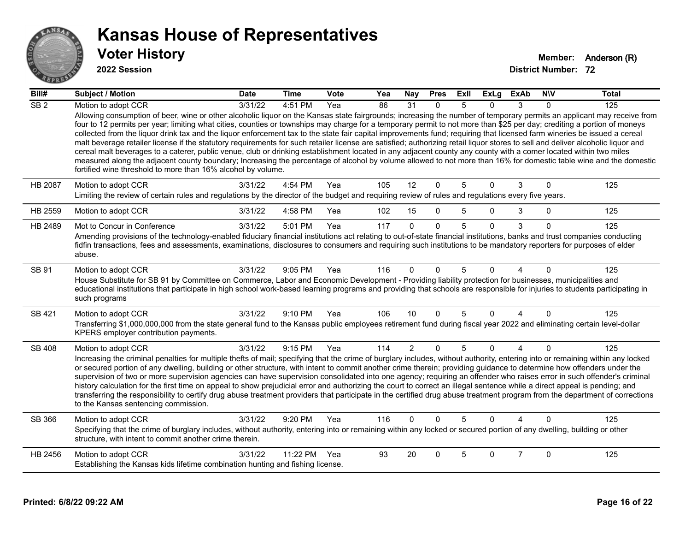

| Bill#           | <b>Subject / Motion</b>                                                                                                                                                                                                                                                                                                                                                                                                                                                                                                                                                                                                                                                                                                                                                                                                                                                                                                                                                                                                                                                                                                   | <b>Date</b> | <b>Time</b> | <b>Vote</b> | Yea | Nay            | <b>Pres</b> | ExII | <b>ExLg</b> | <b>ExAb</b>    | <b>NIV</b>  | <b>Total</b> |
|-----------------|---------------------------------------------------------------------------------------------------------------------------------------------------------------------------------------------------------------------------------------------------------------------------------------------------------------------------------------------------------------------------------------------------------------------------------------------------------------------------------------------------------------------------------------------------------------------------------------------------------------------------------------------------------------------------------------------------------------------------------------------------------------------------------------------------------------------------------------------------------------------------------------------------------------------------------------------------------------------------------------------------------------------------------------------------------------------------------------------------------------------------|-------------|-------------|-------------|-----|----------------|-------------|------|-------------|----------------|-------------|--------------|
| SB <sub>2</sub> | Motion to adopt CCR                                                                                                                                                                                                                                                                                                                                                                                                                                                                                                                                                                                                                                                                                                                                                                                                                                                                                                                                                                                                                                                                                                       | 3/31/22     | 4:51 PM     | Yea         | 86  | 31             | $\Omega$    | 5    | 0           | 3              | $\Omega$    | 125          |
|                 | Allowing consumption of beer, wine or other alcoholic liquor on the Kansas state fairgrounds; increasing the number of temporary permits an applicant may receive from<br>four to 12 permits per year; limiting what cities, counties or townships may charge for a temporary permit to not more than \$25 per day; crediting a portion of moneys<br>collected from the liquor drink tax and the liquor enforcement tax to the state fair capital improvements fund; requiring that licensed farm wineries be issued a cereal<br>malt beverage retailer license if the statutory requirements for such retailer license are satisfied; authorizing retail liquor stores to sell and deliver alcoholic liquor and<br>cereal malt beverages to a caterer, public venue, club or drinking establishment located in any adjacent county any county with a comer located within two miles<br>measured along the adjacent county boundary; Increasing the percentage of alcohol by volume allowed to not more than 16% for domestic table wine and the domestic<br>fortified wine threshold to more than 16% alcohol by volume. |             |             |             |     |                |             |      |             |                |             |              |
| HB 2087         | Motion to adopt CCR                                                                                                                                                                                                                                                                                                                                                                                                                                                                                                                                                                                                                                                                                                                                                                                                                                                                                                                                                                                                                                                                                                       | 3/31/22     | 4:54 PM     | Yea         | 105 | 12             | $\mathbf 0$ | 5    | $\Omega$    | 3              | $\Omega$    | 125          |
|                 | Limiting the review of certain rules and regulations by the director of the budget and requiring review of rules and regulations every five years.                                                                                                                                                                                                                                                                                                                                                                                                                                                                                                                                                                                                                                                                                                                                                                                                                                                                                                                                                                        |             |             |             |     |                |             |      |             |                |             |              |
| HB 2559         | Motion to adopt CCR                                                                                                                                                                                                                                                                                                                                                                                                                                                                                                                                                                                                                                                                                                                                                                                                                                                                                                                                                                                                                                                                                                       | 3/31/22     | 4:58 PM     | Yea         | 102 | 15             | $\mathbf 0$ | 5    | $\Omega$    | 3              | $\mathbf 0$ | 125          |
| HB 2489         | Mot to Concur in Conference                                                                                                                                                                                                                                                                                                                                                                                                                                                                                                                                                                                                                                                                                                                                                                                                                                                                                                                                                                                                                                                                                               | 3/31/22     | 5:01 PM     | Yea         | 117 | $\Omega$       | $\Omega$    | 5    | $\Omega$    | 3              | $\Omega$    | 125          |
|                 | Amending provisions of the technology-enabled fiduciary financial institutions act relating to out-of-state financial institutions, banks and trust companies conducting<br>fidfin transactions, fees and assessments, examinations, disclosures to consumers and requiring such institutions to be mandatory reporters for purposes of elder<br>abuse.                                                                                                                                                                                                                                                                                                                                                                                                                                                                                                                                                                                                                                                                                                                                                                   |             |             |             |     |                |             |      |             |                |             |              |
| SB 91           | Motion to adopt CCR<br>House Substitute for SB 91 by Committee on Commerce, Labor and Economic Development - Providing liability protection for businesses, municipalities and<br>educational institutions that participate in high school work-based learning programs and providing that schools are responsible for injuries to students participating in<br>such programs                                                                                                                                                                                                                                                                                                                                                                                                                                                                                                                                                                                                                                                                                                                                             | 3/31/22     | 9:05 PM     | Yea         | 116 | 0              | $\Omega$    | 5    | U           |                | $\Omega$    | 125          |
| SB 421          | Motion to adopt CCR                                                                                                                                                                                                                                                                                                                                                                                                                                                                                                                                                                                                                                                                                                                                                                                                                                                                                                                                                                                                                                                                                                       | 3/31/22     | 9:10 PM     | Yea         | 106 | 10             | $\Omega$    | 5    | $\Omega$    | 4              | $\Omega$    | 125          |
|                 | Transferring \$1,000,000,000 from the state general fund to the Kansas public employees retirement fund during fiscal year 2022 and eliminating certain level-dollar<br>KPERS employer contribution payments.                                                                                                                                                                                                                                                                                                                                                                                                                                                                                                                                                                                                                                                                                                                                                                                                                                                                                                             |             |             |             |     |                |             |      |             |                |             |              |
| <b>SB 408</b>   | Motion to adopt CCR                                                                                                                                                                                                                                                                                                                                                                                                                                                                                                                                                                                                                                                                                                                                                                                                                                                                                                                                                                                                                                                                                                       | 3/31/22     | 9:15 PM     | Yea         | 114 | $\overline{2}$ | $\Omega$    | 5    | $\Omega$    | 4              | $\Omega$    | 125          |
|                 | Increasing the criminal penalties for multiple thefts of mail; specifying that the crime of burglary includes, without authority, entering into or remaining within any locked<br>or secured portion of any dwelling, building or other structure, with intent to commit another crime therein; providing guidance to determine how offenders under the<br>supervision of two or more supervision agencies can have supervision consolidated into one agency; requiring an offender who raises error in such offender's criminal<br>history calculation for the first time on appeal to show prejudicial error and authorizing the court to correct an illegal sentence while a direct appeal is pending; and<br>transferring the responsibility to certify drug abuse treatment providers that participate in the certified drug abuse treatment program from the department of corrections<br>to the Kansas sentencing commission.                                                                                                                                                                                      |             |             |             |     |                |             |      |             |                |             |              |
| SB 366          | Motion to adopt CCR                                                                                                                                                                                                                                                                                                                                                                                                                                                                                                                                                                                                                                                                                                                                                                                                                                                                                                                                                                                                                                                                                                       | 3/31/22     | 9:20 PM     | Yea         | 116 | $\Omega$       | $\Omega$    | 5    | $\Omega$    |                | 0           | 125          |
|                 | Specifying that the crime of burglary includes, without authority, entering into or remaining within any locked or secured portion of any dwelling, building or other<br>structure, with intent to commit another crime therein.                                                                                                                                                                                                                                                                                                                                                                                                                                                                                                                                                                                                                                                                                                                                                                                                                                                                                          |             |             |             |     |                |             |      |             |                |             |              |
| HB 2456         | Motion to adopt CCR                                                                                                                                                                                                                                                                                                                                                                                                                                                                                                                                                                                                                                                                                                                                                                                                                                                                                                                                                                                                                                                                                                       | 3/31/22     | 11:22 PM    | Yea         | 93  | 20             | $\Omega$    | 5    | $\Omega$    | $\overline{7}$ | $\Omega$    | 125          |
|                 | Establishing the Kansas kids lifetime combination hunting and fishing license.                                                                                                                                                                                                                                                                                                                                                                                                                                                                                                                                                                                                                                                                                                                                                                                                                                                                                                                                                                                                                                            |             |             |             |     |                |             |      |             |                |             |              |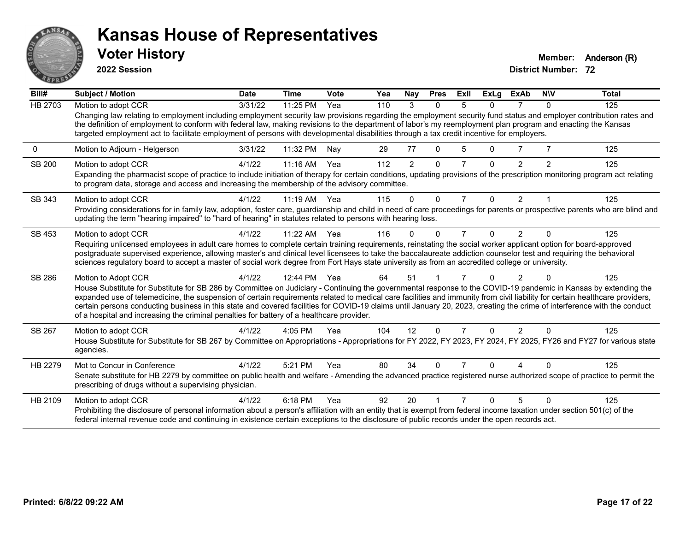

**2022 Session**

**Voter History Member:** Anderson (R)

| Bill#          | <b>Subject / Motion</b>                                                                                                                                                                                                                                                                                                                                                                                                                                                         | <b>Date</b> | <b>Time</b> | Vote | Yea | Nay      | <b>Pres</b>  | ExII | <b>ExLg</b> | <b>ExAb</b>    | <b>NIV</b> | <b>Total</b> |
|----------------|---------------------------------------------------------------------------------------------------------------------------------------------------------------------------------------------------------------------------------------------------------------------------------------------------------------------------------------------------------------------------------------------------------------------------------------------------------------------------------|-------------|-------------|------|-----|----------|--------------|------|-------------|----------------|------------|--------------|
| <b>HB 2703</b> | Motion to adopt CCR                                                                                                                                                                                                                                                                                                                                                                                                                                                             | 3/31/22     | 11:25 PM    | Yea  | 110 | 3        | $\Omega$     | 5    | 0           |                | $\Omega$   | 125          |
|                | Changing law relating to employment including employment security law provisions regarding the employment security fund status and employer contribution rates and<br>the definition of employment to conform with federal law, making revisions to the department of labor's my reemployment plan program and enacting the Kansas<br>targeted employment act to facilitate employment of persons with developmental disabilities through a tax credit incentive for employers. |             |             |      |     |          |              |      |             |                |            |              |
| 0              | Motion to Adjourn - Helgerson                                                                                                                                                                                                                                                                                                                                                                                                                                                   | 3/31/22     | 11:32 PM    | Nav  | 29  | 77       | $\Omega$     | 5    | 0           |                |            | 125          |
| <b>SB 200</b>  | Motion to adopt CCR                                                                                                                                                                                                                                                                                                                                                                                                                                                             | 4/1/22      | 11:16 AM    | Yea  | 112 | 2        | $\mathbf{0}$ |      | $\Omega$    | 2              | 2          | 125          |
|                | Expanding the pharmacist scope of practice to include initiation of therapy for certain conditions, updating provisions of the prescription monitoring program act relating<br>to program data, storage and access and increasing the membership of the advisory committee.                                                                                                                                                                                                     |             |             |      |     |          |              |      |             |                |            |              |
| SB 343         | Motion to adopt CCR                                                                                                                                                                                                                                                                                                                                                                                                                                                             | 4/1/22      | 11:19 AM    | Yea  | 115 | $\Omega$ | $\Omega$     | 7    | $\Omega$    | 2              |            | 125          |
|                | Providing considerations for in family law, adoption, foster care, guardianship and child in need of care proceedings for parents or prospective parents who are blind and<br>updating the term "hearing impaired" to "hard of hearing" in statutes related to persons with hearing loss.                                                                                                                                                                                       |             |             |      |     |          |              |      |             |                |            |              |
| SB 453         | Motion to adopt CCR                                                                                                                                                                                                                                                                                                                                                                                                                                                             | 4/1/22      | $11:22$ AM  | Yea  | 116 | $\Omega$ | $\Omega$     |      | 0           | $\overline{2}$ | $\Omega$   | 125          |
|                | Requiring unlicensed employees in adult care homes to complete certain training requirements, reinstating the social worker applicant option for board-approved                                                                                                                                                                                                                                                                                                                 |             |             |      |     |          |              |      |             |                |            |              |
|                | postgraduate supervised experience, allowing master's and clinical level licensees to take the baccalaureate addiction counselor test and requiring the behavioral<br>sciences regulatory board to accept a master of social work degree from Fort Hays state university as from an accredited college or university.                                                                                                                                                           |             |             |      |     |          |              |      |             |                |            |              |
|                |                                                                                                                                                                                                                                                                                                                                                                                                                                                                                 |             |             |      |     |          |              |      |             |                |            |              |
| SB 286         | Motion to Adopt CCR                                                                                                                                                                                                                                                                                                                                                                                                                                                             | 4/1/22      | 12:44 PM    | Yea  | 64  | 51       |              |      | U           | 2              |            | 125          |
|                | House Substitute for Substitute for SB 286 by Committee on Judiciary - Continuing the governmental response to the COVID-19 pandemic in Kansas by extending the<br>expanded use of telemedicine, the suspension of certain requirements related to medical care facilities and immunity from civil liability for certain healthcare providers,                                                                                                                                  |             |             |      |     |          |              |      |             |                |            |              |
|                | certain persons conducting business in this state and covered facilities for COVID-19 claims until January 20, 2023, creating the crime of interference with the conduct                                                                                                                                                                                                                                                                                                        |             |             |      |     |          |              |      |             |                |            |              |
|                | of a hospital and increasing the criminal penalties for battery of a healthcare provider.                                                                                                                                                                                                                                                                                                                                                                                       |             |             |      |     |          |              |      |             |                |            |              |
| SB 267         | Motion to adopt CCR                                                                                                                                                                                                                                                                                                                                                                                                                                                             | 4/1/22      | 4:05 PM     | Yea  | 104 | 12       | $\Omega$     |      | $\Omega$    | $\overline{2}$ | $\Omega$   | 125          |
|                | House Substitute for Substitute for SB 267 by Committee on Appropriations - Appropriations for FY 2022, FY 2023, FY 2024, FY 2025, FY26 and FY27 for various state<br>agencies.                                                                                                                                                                                                                                                                                                 |             |             |      |     |          |              |      |             |                |            |              |
| HB 2279        | Mot to Concur in Conference                                                                                                                                                                                                                                                                                                                                                                                                                                                     | 4/1/22      | 5:21 PM     | Yea  | 80  | 34       | $\Omega$     |      | ŋ           |                |            | 125          |
|                | Senate substitute for HB 2279 by committee on public health and welfare - Amending the advanced practice registered nurse authorized scope of practice to permit the<br>prescribing of drugs without a supervising physician.                                                                                                                                                                                                                                                   |             |             |      |     |          |              |      |             |                |            |              |
| HB 2109        | Motion to adopt CCR                                                                                                                                                                                                                                                                                                                                                                                                                                                             | 4/1/22      | 6:18 PM     | Yea  | 92  | 20       |              |      | n           | 5              | $\Omega$   | 125          |
|                | Prohibiting the disclosure of personal information about a person's affiliation with an entity that is exempt from federal income taxation under section 501(c) of the<br>federal internal revenue code and continuing in existence certain exceptions to the disclosure of public records under the open records act.                                                                                                                                                          |             |             |      |     |          |              |      |             |                |            |              |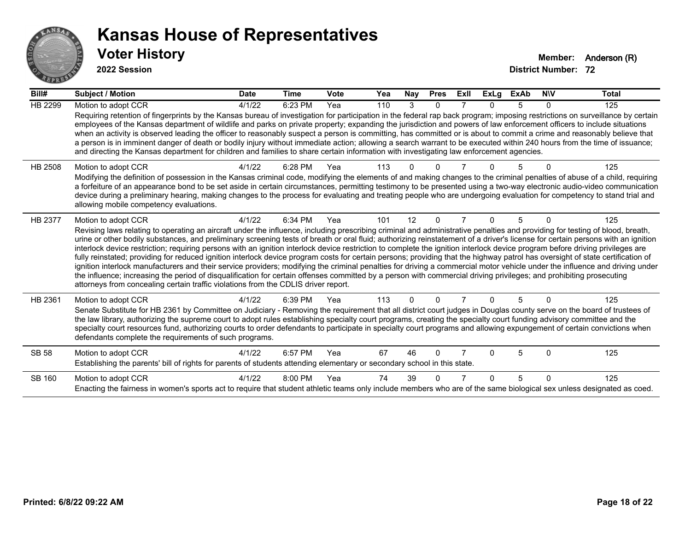

| Bill#          | <b>Subject / Motion</b>                                                                                                                                                                                                                                                                                                                                                                                                                                                                                                                                                                                                                                                                                                                                                                                                                                                                                                                                                                                                                                                                                                                                                                               | <b>Date</b> | <b>Time</b> | <b>Vote</b> | Yea | Nay      | <b>Pres</b>  | ExII | <b>ExLg</b> | <b>ExAb</b> | <b>NIV</b> | <b>Total</b> |
|----------------|-------------------------------------------------------------------------------------------------------------------------------------------------------------------------------------------------------------------------------------------------------------------------------------------------------------------------------------------------------------------------------------------------------------------------------------------------------------------------------------------------------------------------------------------------------------------------------------------------------------------------------------------------------------------------------------------------------------------------------------------------------------------------------------------------------------------------------------------------------------------------------------------------------------------------------------------------------------------------------------------------------------------------------------------------------------------------------------------------------------------------------------------------------------------------------------------------------|-------------|-------------|-------------|-----|----------|--------------|------|-------------|-------------|------------|--------------|
| HB 2299        | Motion to adopt CCR<br>Requiring retention of fingerprints by the Kansas bureau of investigation for participation in the federal rap back program; imposing restrictions on surveillance by certain<br>employees of the Kansas department of wildlife and parks on private property; expanding the jurisdiction and powers of law enforcement officers to include situations<br>when an activity is observed leading the officer to reasonably suspect a person is committing, has committed or is about to commit a crime and reasonably believe that<br>a person is in imminent danger of death or bodily injury without immediate action; allowing a search warrant to be executed within 240 hours from the time of issuance;<br>and directing the Kansas department for children and families to share certain information with investigating law enforcement agencies.                                                                                                                                                                                                                                                                                                                         | 4/1/22      | 6:23 PM     | Yea         | 110 | 3        | $\Omega$     |      | $\Omega$    | 5           | 0          | 125          |
| <b>HB 2508</b> | Motion to adopt CCR<br>Modifying the definition of possession in the Kansas criminal code, modifying the elements of and making changes to the criminal penalties of abuse of a child, requiring<br>a forfeiture of an appearance bond to be set aside in certain circumstances, permitting testimony to be presented using a two-way electronic audio-video communication<br>device during a preliminary hearing, making changes to the process for evaluating and treating people who are undergoing evaluation for competency to stand trial and<br>allowing mobile competency evaluations.                                                                                                                                                                                                                                                                                                                                                                                                                                                                                                                                                                                                        | 4/1/22      | 6:28 PM     | Yea         | 113 |          |              |      |             |             |            | 125          |
| HB 2377        | Motion to adopt CCR<br>Revising laws relating to operating an aircraft under the influence, including prescribing criminal and administrative penalties and providing for testing of blood, breath,<br>urine or other bodily substances, and preliminary screening tests of breath or oral fluid; authorizing reinstatement of a driver's license for certain persons with an ignition<br>interlock device restriction; requiring persons with an ignition interlock device restriction to complete the ignition interlock device program before driving privileges are<br>fully reinstated; providing for reduced ignition interlock device program costs for certain persons; providing that the highway patrol has oversight of state certification of<br>ignition interlock manufacturers and their service providers; modifying the criminal penalties for driving a commercial motor vehicle under the influence and driving under<br>the influence; increasing the period of disqualification for certain offenses committed by a person with commercial driving privileges; and prohibiting prosecuting<br>attorneys from concealing certain traffic violations from the CDLIS driver report. | 4/1/22      | 6:34 PM     | Yea         | 101 | 12       | $\Omega$     |      | $\Omega$    | 5           | n          | 125          |
| HB 2361        | Motion to adopt CCR<br>Senate Substitute for HB 2361 by Committee on Judiciary - Removing the requirement that all district court judges in Douglas county serve on the board of trustees of<br>the law library, authorizing the supreme court to adopt rules establishing specialty court programs, creating the specialty court funding advisory committee and the<br>specialty court resources fund, authorizing courts to order defendants to participate in specialty court programs and allowing expungement of certain convictions when<br>defendants complete the requirements of such programs.                                                                                                                                                                                                                                                                                                                                                                                                                                                                                                                                                                                              | 4/1/22      | 6:39 PM     | Yea         | 113 | $\Omega$ | $\Omega$     |      | $\Omega$    | 5           | $\Omega$   | 125          |
| <b>SB 58</b>   | Motion to adopt CCR<br>Establishing the parents' bill of rights for parents of students attending elementary or secondary school in this state.                                                                                                                                                                                                                                                                                                                                                                                                                                                                                                                                                                                                                                                                                                                                                                                                                                                                                                                                                                                                                                                       | 4/1/22      | 6:57 PM     | Yea         | 67  | 46       | <sup>0</sup> |      | 0           | 5           | U          | 125          |
| SB 160         | Motion to adopt CCR<br>Enacting the fairness in women's sports act to require that student athletic teams only include members who are of the same biological sex unless designated as coed.                                                                                                                                                                                                                                                                                                                                                                                                                                                                                                                                                                                                                                                                                                                                                                                                                                                                                                                                                                                                          | 4/1/22      | 8:00 PM     | Yea         | 74  | 39       |              |      | 0           | 5           | $\Omega$   | 125          |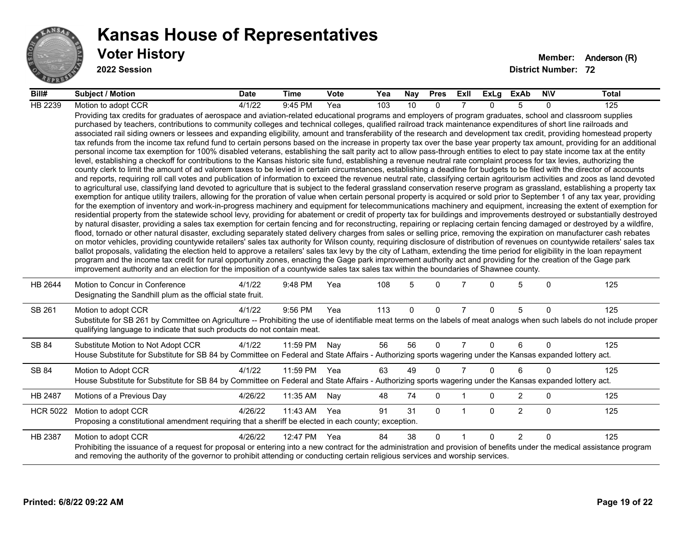

| Bill#           | <b>Subject / Motion</b>                                                                                                                                                                                                                                                                                                                                                                                                                                                                                                                                                                                                                                                                                                                                                                                                                                                                                                                                                                                                                                                                                                                                                                                                                                                                                                                                                                                                                                                                                                                                                                                                                                                                                                                                                                                                                                                                                                                                                                                                                                                                                                                                                                                                                                                                                                                                                                                                                                                                                                                                                                                                                                                                                                                                                                                                                                                                                                                                                                                                                                                                                                                                                     | <b>Date</b> | <b>Time</b> | <b>Vote</b> | Yea | Nay | <b>Pres</b> | ExII           | ExLg         | ExAb           | <b>NIV</b>   | Total |
|-----------------|-----------------------------------------------------------------------------------------------------------------------------------------------------------------------------------------------------------------------------------------------------------------------------------------------------------------------------------------------------------------------------------------------------------------------------------------------------------------------------------------------------------------------------------------------------------------------------------------------------------------------------------------------------------------------------------------------------------------------------------------------------------------------------------------------------------------------------------------------------------------------------------------------------------------------------------------------------------------------------------------------------------------------------------------------------------------------------------------------------------------------------------------------------------------------------------------------------------------------------------------------------------------------------------------------------------------------------------------------------------------------------------------------------------------------------------------------------------------------------------------------------------------------------------------------------------------------------------------------------------------------------------------------------------------------------------------------------------------------------------------------------------------------------------------------------------------------------------------------------------------------------------------------------------------------------------------------------------------------------------------------------------------------------------------------------------------------------------------------------------------------------------------------------------------------------------------------------------------------------------------------------------------------------------------------------------------------------------------------------------------------------------------------------------------------------------------------------------------------------------------------------------------------------------------------------------------------------------------------------------------------------------------------------------------------------------------------------------------------------------------------------------------------------------------------------------------------------------------------------------------------------------------------------------------------------------------------------------------------------------------------------------------------------------------------------------------------------------------------------------------------------------------------------------------------------|-------------|-------------|-------------|-----|-----|-------------|----------------|--------------|----------------|--------------|-------|
| HB 2239         | Motion to adopt CCR                                                                                                                                                                                                                                                                                                                                                                                                                                                                                                                                                                                                                                                                                                                                                                                                                                                                                                                                                                                                                                                                                                                                                                                                                                                                                                                                                                                                                                                                                                                                                                                                                                                                                                                                                                                                                                                                                                                                                                                                                                                                                                                                                                                                                                                                                                                                                                                                                                                                                                                                                                                                                                                                                                                                                                                                                                                                                                                                                                                                                                                                                                                                                         | 4/1/22      | 9:45 PM     | Yea         | 103 | 10  | $\Omega$    |                | $\Omega$     | 5              | $\Omega$     | 125   |
|                 | Providing tax credits for graduates of aerospace and aviation-related educational programs and employers of program graduates, school and classroom supplies<br>purchased by teachers, contributions to community colleges and technical colleges, qualified railroad track maintenance expenditures of short line railroads and<br>associated rail siding owners or lessees and expanding eligibility, amount and transferability of the research and development tax credit, providing homestead property<br>tax refunds from the income tax refund fund to certain persons based on the increase in property tax over the base year property tax amount, providing for an additional<br>personal income tax exemption for 100% disabled veterans, establishing the salt parity act to allow pass-through entities to elect to pay state income tax at the entity<br>level, establishing a checkoff for contributions to the Kansas historic site fund, establishing a revenue neutral rate complaint process for tax levies, authorizing the<br>county clerk to limit the amount of ad valorem taxes to be levied in certain circumstances, establishing a deadline for budgets to be filed with the director of accounts<br>and reports, requiring roll call votes and publication of information to exceed the revenue neutral rate, classifying certain agritourism activities and zoos as land devoted<br>to agricultural use, classifying land devoted to agriculture that is subject to the federal grassland conservation reserve program as grassland, establishing a property tax<br>exemption for antique utility trailers, allowing for the proration of value when certain personal property is acquired or sold prior to September 1 of any tax year, providing<br>for the exemption of inventory and work-in-progress machinery and equipment for telecommunications machinery and equipment, increasing the extent of exemption for<br>residential property from the statewide school levy, providing for abatement or credit of property tax for buildings and improvements destroyed or substantially destroyed<br>by natural disaster, providing a sales tax exemption for certain fencing and for reconstructing, repairing or replacing certain fencing damaged or destroyed by a wildfire,<br>flood, tornado or other natural disaster, excluding separately stated delivery charges from sales or selling price, removing the expiration on manufacturer cash rebates<br>on motor vehicles, providing countywide retailers' sales tax authority for Wilson county, requiring disclosure of distribution of revenues on countywide retailers' sales tax<br>ballot proposals, validating the election held to approve a retailers' sales tax levy by the city of Latham, extending the time period for eligibility in the loan repayment<br>program and the income tax credit for rural opportunity zones, enacting the Gage park improvement authority act and providing for the creation of the Gage park<br>improvement authority and an election for the imposition of a countywide sales tax sales tax within the boundaries of Shawnee county. |             |             |             |     |     |             |                |              |                |              |       |
| HB 2644         | Motion to Concur in Conference<br>Designating the Sandhill plum as the official state fruit.                                                                                                                                                                                                                                                                                                                                                                                                                                                                                                                                                                                                                                                                                                                                                                                                                                                                                                                                                                                                                                                                                                                                                                                                                                                                                                                                                                                                                                                                                                                                                                                                                                                                                                                                                                                                                                                                                                                                                                                                                                                                                                                                                                                                                                                                                                                                                                                                                                                                                                                                                                                                                                                                                                                                                                                                                                                                                                                                                                                                                                                                                | 4/1/22      | 9:48 PM     | Yea         | 108 | 5   | $\Omega$    |                | 0            | 5              | $\mathbf{0}$ | 125   |
| SB 261          | Motion to adopt CCR<br>Substitute for SB 261 by Committee on Agriculture -- Prohibiting the use of identifiable meat terms on the labels of meat analogs when such labels do not include proper<br>qualifying language to indicate that such products do not contain meat.                                                                                                                                                                                                                                                                                                                                                                                                                                                                                                                                                                                                                                                                                                                                                                                                                                                                                                                                                                                                                                                                                                                                                                                                                                                                                                                                                                                                                                                                                                                                                                                                                                                                                                                                                                                                                                                                                                                                                                                                                                                                                                                                                                                                                                                                                                                                                                                                                                                                                                                                                                                                                                                                                                                                                                                                                                                                                                  | 4/1/22      | 9:56 PM     | Yea         | 113 | 0   | 0           | $\overline{7}$ | $\Omega$     | 5              | $\mathbf{0}$ | 125   |
| SB 84           | Substitute Motion to Not Adopt CCR<br>House Substitute for Substitute for SB 84 by Committee on Federal and State Affairs - Authorizing sports wagering under the Kansas expanded lottery act.                                                                                                                                                                                                                                                                                                                                                                                                                                                                                                                                                                                                                                                                                                                                                                                                                                                                                                                                                                                                                                                                                                                                                                                                                                                                                                                                                                                                                                                                                                                                                                                                                                                                                                                                                                                                                                                                                                                                                                                                                                                                                                                                                                                                                                                                                                                                                                                                                                                                                                                                                                                                                                                                                                                                                                                                                                                                                                                                                                              | 4/1/22      | 11:59 PM    | Nay         | 56  | 56  | $\Omega$    | $\overline{7}$ | $\Omega$     | 6              | $\mathbf{0}$ | 125   |
| SB 84           | Motion to Adopt CCR<br>House Substitute for Substitute for SB 84 by Committee on Federal and State Affairs - Authorizing sports wagering under the Kansas expanded lottery act.                                                                                                                                                                                                                                                                                                                                                                                                                                                                                                                                                                                                                                                                                                                                                                                                                                                                                                                                                                                                                                                                                                                                                                                                                                                                                                                                                                                                                                                                                                                                                                                                                                                                                                                                                                                                                                                                                                                                                                                                                                                                                                                                                                                                                                                                                                                                                                                                                                                                                                                                                                                                                                                                                                                                                                                                                                                                                                                                                                                             | 4/1/22      | 11:59 PM    | Yea         | 63  | 49  | $\Omega$    | $\overline{7}$ | $\Omega$     | 6              | $\Omega$     | 125   |
| HB 2487         | Motions of a Previous Day                                                                                                                                                                                                                                                                                                                                                                                                                                                                                                                                                                                                                                                                                                                                                                                                                                                                                                                                                                                                                                                                                                                                                                                                                                                                                                                                                                                                                                                                                                                                                                                                                                                                                                                                                                                                                                                                                                                                                                                                                                                                                                                                                                                                                                                                                                                                                                                                                                                                                                                                                                                                                                                                                                                                                                                                                                                                                                                                                                                                                                                                                                                                                   | 4/26/22     | 11:35 AM    | Nay         | 48  | 74  | $\mathbf 0$ |                | 0            | $\overline{2}$ | 0            | 125   |
| <b>HCR 5022</b> | Motion to adopt CCR<br>Proposing a constitutional amendment requiring that a sheriff be elected in each county; exception.                                                                                                                                                                                                                                                                                                                                                                                                                                                                                                                                                                                                                                                                                                                                                                                                                                                                                                                                                                                                                                                                                                                                                                                                                                                                                                                                                                                                                                                                                                                                                                                                                                                                                                                                                                                                                                                                                                                                                                                                                                                                                                                                                                                                                                                                                                                                                                                                                                                                                                                                                                                                                                                                                                                                                                                                                                                                                                                                                                                                                                                  | 4/26/22     | 11:43 AM    | Yea         | 91  | 31  | $\Omega$    | $\mathbf{1}$   | $\mathbf{0}$ | $\overline{2}$ | $\mathbf{0}$ | 125   |
| HB 2387         | Motion to adopt CCR<br>Prohibiting the issuance of a request for proposal or entering into a new contract for the administration and provision of benefits under the medical assistance program<br>and removing the authority of the governor to prohibit attending or conducting certain religious services and worship services.                                                                                                                                                                                                                                                                                                                                                                                                                                                                                                                                                                                                                                                                                                                                                                                                                                                                                                                                                                                                                                                                                                                                                                                                                                                                                                                                                                                                                                                                                                                                                                                                                                                                                                                                                                                                                                                                                                                                                                                                                                                                                                                                                                                                                                                                                                                                                                                                                                                                                                                                                                                                                                                                                                                                                                                                                                          | 4/26/22     | 12:47 PM    | Yea         | 84  | 38  | $\Omega$    | $\overline{1}$ | $\Omega$     | $\overline{2}$ | $\Omega$     | 125   |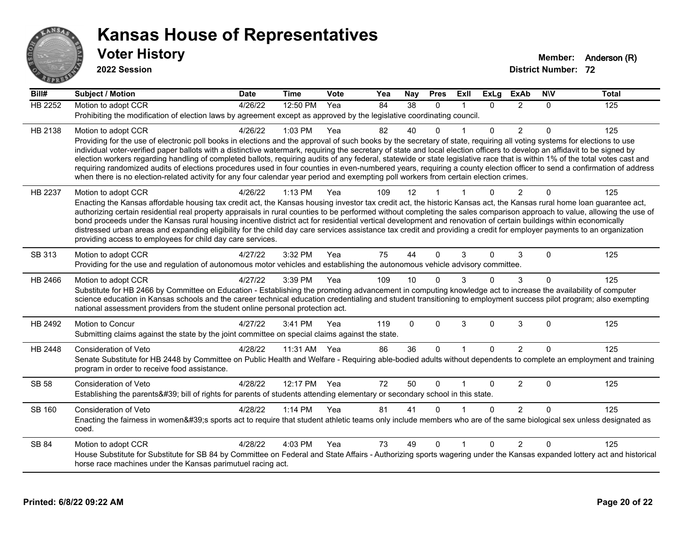

| Bill#          | <b>Subject / Motion</b>                                                                                                                                                                                                                                                                                                                                 | <b>Date</b> | <b>Time</b>  | Vote | Yea | <b>Nay</b>  | <b>Pres</b>  | ExII         | <b>ExLg</b>  | <b>ExAb</b>    | N/V          | <b>Total</b> |
|----------------|---------------------------------------------------------------------------------------------------------------------------------------------------------------------------------------------------------------------------------------------------------------------------------------------------------------------------------------------------------|-------------|--------------|------|-----|-------------|--------------|--------------|--------------|----------------|--------------|--------------|
| <b>HB 2252</b> | Motion to adopt CCR                                                                                                                                                                                                                                                                                                                                     | 4/26/22     | 12:50 PM     | Yea  | 84  | 38          | $\Omega$     |              | $\Omega$     | 2              | 0            | 125          |
|                | Prohibiting the modification of election laws by agreement except as approved by the legislative coordinating council.                                                                                                                                                                                                                                  |             |              |      |     |             |              |              |              |                |              |              |
| HB 2138        | Motion to adopt CCR                                                                                                                                                                                                                                                                                                                                     | 4/26/22     | 1:03 PM      | Yea  | 82  | 40          | U            |              | $\Omega$     | $\overline{2}$ | $\mathbf{0}$ | 125          |
|                | Providing for the use of electronic poll books in elections and the approval of such books by the secretary of state, requiring all voting systems for elections to use                                                                                                                                                                                 |             |              |      |     |             |              |              |              |                |              |              |
|                | individual voter-verified paper ballots with a distinctive watermark, requiring the secretary of state and local election officers to develop an affidavit to be signed by                                                                                                                                                                              |             |              |      |     |             |              |              |              |                |              |              |
|                | election workers regarding handling of completed ballots, requiring audits of any federal, statewide or state legislative race that is within 1% of the total votes cast and<br>requiring randomized audits of elections procedures used in four counties in even-numbered years, requiring a county election officer to send a confirmation of address |             |              |      |     |             |              |              |              |                |              |              |
|                | when there is no election-related activity for any four calendar year period and exempting poll workers from certain election crimes.                                                                                                                                                                                                                   |             |              |      |     |             |              |              |              |                |              |              |
| HB 2237        | Motion to adopt CCR                                                                                                                                                                                                                                                                                                                                     | 4/26/22     | 1:13 PM      | Yea  | 109 | 12          |              |              |              | 2              | 0            | 125          |
|                | Enacting the Kansas affordable housing tax credit act, the Kansas housing investor tax credit act, the historic Kansas act, the Kansas rural home loan guarantee act,                                                                                                                                                                                   |             |              |      |     |             |              |              |              |                |              |              |
|                | authorizing certain residential real property appraisals in rural counties to be performed without completing the sales comparison approach to value, allowing the use of                                                                                                                                                                               |             |              |      |     |             |              |              |              |                |              |              |
|                | bond proceeds under the Kansas rural housing incentive district act for residential vertical development and renovation of certain buildings within economically                                                                                                                                                                                        |             |              |      |     |             |              |              |              |                |              |              |
|                | distressed urban areas and expanding eligibility for the child day care services assistance tax credit and providing a credit for employer payments to an organization                                                                                                                                                                                  |             |              |      |     |             |              |              |              |                |              |              |
|                | providing access to employees for child day care services.                                                                                                                                                                                                                                                                                              |             |              |      |     |             |              |              |              |                |              |              |
| SB 313         | Motion to adopt CCR                                                                                                                                                                                                                                                                                                                                     | 4/27/22     | 3:32 PM      | Yea  | 75  | 44          | $\Omega$     | 3            | $\mathbf{0}$ | 3              | $\Omega$     | 125          |
|                | Providing for the use and regulation of autonomous motor vehicles and establishing the autonomous vehicle advisory committee.                                                                                                                                                                                                                           |             |              |      |     |             |              |              |              |                |              |              |
| HB 2466        | Motion to adopt CCR                                                                                                                                                                                                                                                                                                                                     | 4/27/22     | 3:39 PM      | Yea  | 109 | 10          |              |              | $\Omega$     | 3              | 0            | 125          |
|                | Substitute for HB 2466 by Committee on Education - Establishing the promoting advancement in computing knowledge act to increase the availability of computer                                                                                                                                                                                           |             |              |      |     |             |              |              |              |                |              |              |
|                | science education in Kansas schools and the career technical education credentialing and student transitioning to employment success pilot program; also exempting<br>national assessment providers from the student online personal protection act.                                                                                                    |             |              |      |     |             |              |              |              |                |              |              |
|                |                                                                                                                                                                                                                                                                                                                                                         |             |              |      |     |             |              |              |              |                |              |              |
| HB 2492        | Motion to Concur                                                                                                                                                                                                                                                                                                                                        | 4/27/22     | 3:41 PM      | Yea  | 119 | $\mathbf 0$ | $\mathbf{0}$ | 3            | $\mathbf 0$  | $\sqrt{3}$     | $\Omega$     | 125          |
|                | Submitting claims against the state by the joint committee on special claims against the state.                                                                                                                                                                                                                                                         |             |              |      |     |             |              |              |              |                |              |              |
| HB 2448        | Consideration of Veto                                                                                                                                                                                                                                                                                                                                   | 4/28/22     | 11:31 AM Yea |      | 86  | 36          | $\Omega$     | $\mathbf{1}$ | $\Omega$     | 2              | $\Omega$     | 125          |
|                | Senate Substitute for HB 2448 by Committee on Public Health and Welfare - Requiring able-bodied adults without dependents to complete an employment and training                                                                                                                                                                                        |             |              |      |     |             |              |              |              |                |              |              |
|                | program in order to receive food assistance.                                                                                                                                                                                                                                                                                                            |             |              |      |     |             |              |              |              |                |              |              |
| <b>SB 58</b>   | Consideration of Veto                                                                                                                                                                                                                                                                                                                                   | 4/28/22     | 12:17 PM     | Yea  | 72  | 50          | $\Omega$     |              | $\mathbf 0$  | $\overline{c}$ | $\mathbf 0$  | 125          |
|                | Establishing the parents' bill of rights for parents of students attending elementary or secondary school in this state.                                                                                                                                                                                                                                |             |              |      |     |             |              |              |              |                |              |              |
| SB 160         | Consideration of Veto                                                                                                                                                                                                                                                                                                                                   | 4/28/22     | 1:14 PM      | Yea  | 81  | 41          | $\Omega$     |              | $\Omega$     | $\overline{2}$ | $\Omega$     | 125          |
|                | Enacting the fairness in women's sports act to require that student athletic teams only include members who are of the same biological sex unless designated as                                                                                                                                                                                         |             |              |      |     |             |              |              |              |                |              |              |
|                | coed.                                                                                                                                                                                                                                                                                                                                                   |             |              |      |     |             |              |              |              |                |              |              |
| SB 84          | Motion to adopt CCR                                                                                                                                                                                                                                                                                                                                     | 4/28/22     | 4:03 PM      | Yea  | 73  | 49          | $\Omega$     |              | 0            | 2              | $\Omega$     | 125          |
|                | House Substitute for Substitute for SB 84 by Committee on Federal and State Affairs - Authorizing sports wagering under the Kansas expanded lottery act and historical                                                                                                                                                                                  |             |              |      |     |             |              |              |              |                |              |              |
|                | horse race machines under the Kansas parimutuel racing act.                                                                                                                                                                                                                                                                                             |             |              |      |     |             |              |              |              |                |              |              |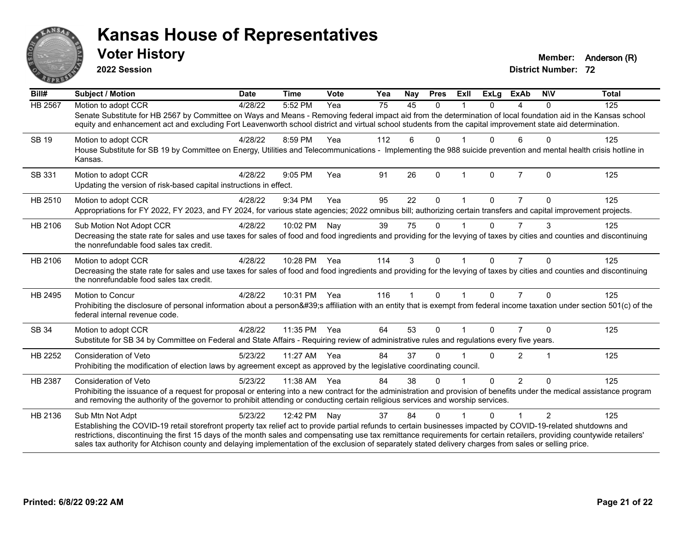

**2022 Session**

**District Number: 72 Voter History Member:** Anderson (R)

| Bill#   | <b>Subject / Motion</b>                                                                                                                                                                                                                                                                                                                                                                                                                                                                                | <b>Date</b> | <b>Time</b>  | <b>Vote</b> | Yea | Nay | <b>Pres</b> | ExIl | <b>ExLg</b> | <b>ExAb</b>    | <b>NIV</b> | <b>Total</b> |
|---------|--------------------------------------------------------------------------------------------------------------------------------------------------------------------------------------------------------------------------------------------------------------------------------------------------------------------------------------------------------------------------------------------------------------------------------------------------------------------------------------------------------|-------------|--------------|-------------|-----|-----|-------------|------|-------------|----------------|------------|--------------|
| HB 2567 | Motion to adopt CCR                                                                                                                                                                                                                                                                                                                                                                                                                                                                                    | 4/28/22     | 5:52 PM      | Yea         | 75  | 45  | $\Omega$    |      | 0           | 4              | $\Omega$   | 125          |
|         | Senate Substitute for HB 2567 by Committee on Ways and Means - Removing federal impact aid from the determination of local foundation aid in the Kansas school<br>equity and enhancement act and excluding Fort Leavenworth school district and virtual school students from the capital improvement state aid determination.                                                                                                                                                                          |             |              |             |     |     |             |      |             |                |            |              |
| SB 19   | Motion to adopt CCR<br>House Substitute for SB 19 by Committee on Energy, Utilities and Telecommunications - Implementing the 988 suicide prevention and mental health crisis hotline in                                                                                                                                                                                                                                                                                                               | 4/28/22     | 8:59 PM      | Yea         | 112 | 6   | 0           |      | 0           | 6              | $\Omega$   | 125          |
|         | Kansas.                                                                                                                                                                                                                                                                                                                                                                                                                                                                                                |             |              |             |     |     |             |      |             |                |            |              |
| SB 331  | Motion to adopt CCR<br>Updating the version of risk-based capital instructions in effect.                                                                                                                                                                                                                                                                                                                                                                                                              | 4/28/22     | $9:05$ PM    | Yea         | 91  | 26  | $\Omega$    |      | $\Omega$    | $\overline{7}$ | $\Omega$   | 125          |
|         |                                                                                                                                                                                                                                                                                                                                                                                                                                                                                                        |             |              |             |     |     |             |      |             |                |            |              |
| HB 2510 | Motion to adopt CCR                                                                                                                                                                                                                                                                                                                                                                                                                                                                                    | 4/28/22     | 9:34 PM      | Yea         | 95  | 22  | 0           |      | 0           | 7              |            | 125          |
|         | Appropriations for FY 2022, FY 2023, and FY 2024, for various state agencies; 2022 omnibus bill; authorizing certain transfers and capital improvement projects.                                                                                                                                                                                                                                                                                                                                       |             |              |             |     |     |             |      |             |                |            |              |
| HB 2106 | Sub Motion Not Adopt CCR                                                                                                                                                                                                                                                                                                                                                                                                                                                                               | 4/28/22     | 10:02 PM     | Nay         | 39  | 75  | $\Omega$    |      | 0           | 7              | 3          | 125          |
|         | Decreasing the state rate for sales and use taxes for sales of food and food ingredients and providing for the levying of taxes by cities and counties and discontinuing<br>the nonrefundable food sales tax credit.                                                                                                                                                                                                                                                                                   |             |              |             |     |     |             |      |             |                |            |              |
| HB 2106 | Motion to adopt CCR                                                                                                                                                                                                                                                                                                                                                                                                                                                                                    | 4/28/22     | 10:28 PM Yea |             | 114 | 3   | $\Omega$    |      | $\Omega$    | $\overline{7}$ | $\Omega$   | 125          |
|         | Decreasing the state rate for sales and use taxes for sales of food and food ingredients and providing for the levying of taxes by cities and counties and discontinuing<br>the nonrefundable food sales tax credit.                                                                                                                                                                                                                                                                                   |             |              |             |     |     |             |      |             |                |            |              |
| HB 2495 | <b>Motion to Concur</b>                                                                                                                                                                                                                                                                                                                                                                                                                                                                                | 4/28/22     | 10:31 PM Yea |             | 116 | 1   | $\Omega$    |      | $\Omega$    | $\overline{7}$ | $\Omega$   | 125          |
|         | Prohibiting the disclosure of personal information about a person's affiliation with an entity that is exempt from federal income taxation under section 501(c) of the<br>federal internal revenue code.                                                                                                                                                                                                                                                                                               |             |              |             |     |     |             |      |             |                |            |              |
| SB 34   | Motion to adopt CCR                                                                                                                                                                                                                                                                                                                                                                                                                                                                                    | 4/28/22     | 11:35 PM     | Yea         | 64  | 53  | $\Omega$    |      | $\Omega$    |                | $\Omega$   | 125          |
|         | Substitute for SB 34 by Committee on Federal and State Affairs - Requiring review of administrative rules and regulations every five years.                                                                                                                                                                                                                                                                                                                                                            |             |              |             |     |     |             |      |             |                |            |              |
| HB 2252 | <b>Consideration of Veto</b>                                                                                                                                                                                                                                                                                                                                                                                                                                                                           | 5/23/22     | 11:27 AM     | Yea         | 84  | 37  | 0           |      | 0           | $\overline{2}$ | -1         | 125          |
|         | Prohibiting the modification of election laws by agreement except as approved by the legislative coordinating council.                                                                                                                                                                                                                                                                                                                                                                                 |             |              |             |     |     |             |      |             |                |            |              |
| HB 2387 | <b>Consideration of Veto</b>                                                                                                                                                                                                                                                                                                                                                                                                                                                                           | 5/23/22     | 11:38 AM     | Yea         | 84  | 38  | 0           |      | $\Omega$    | $\overline{2}$ | $\Omega$   | 125          |
|         | Prohibiting the issuance of a request for proposal or entering into a new contract for the administration and provision of benefits under the medical assistance program<br>and removing the authority of the governor to prohibit attending or conducting certain religious services and worship services.                                                                                                                                                                                            |             |              |             |     |     |             |      |             |                |            |              |
| HB 2136 | Sub Mtn Not Adpt                                                                                                                                                                                                                                                                                                                                                                                                                                                                                       | 5/23/22     | 12:42 PM     | Nay         | 37  | 84  | $\Omega$    |      | $\Omega$    |                | 2          | 125          |
|         | Establishing the COVID-19 retail storefront property tax relief act to provide partial refunds to certain businesses impacted by COVID-19-related shutdowns and<br>restrictions, discontinuing the first 15 days of the month sales and compensating use tax remittance requirements for certain retailers, providing countywide retailers'<br>sales tax authority for Atchison county and delaying implementation of the exclusion of separately stated delivery charges from sales or selling price. |             |              |             |     |     |             |      |             |                |            |              |